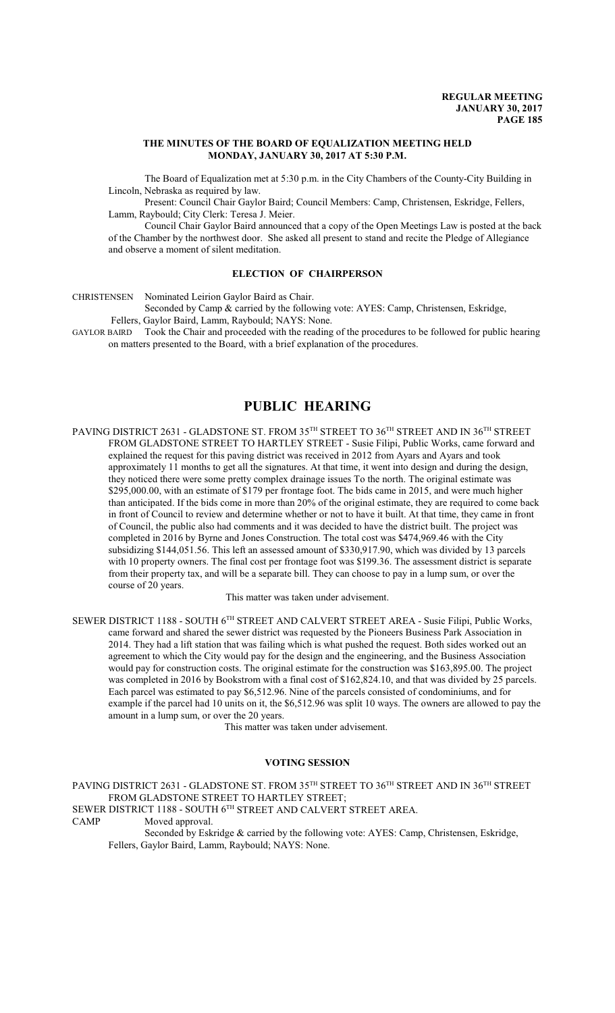### **THE MINUTES OF THE BOARD OF EQUALIZATION MEETING HELD MONDAY, JANUARY 30, 2017 AT 5:30 P.M.**

The Board of Equalization met at 5:30 p.m. in the City Chambers of the County-City Building in Lincoln, Nebraska as required by law.

Present: Council Chair Gaylor Baird; Council Members: Camp, Christensen, Eskridge, Fellers, Lamm, Raybould; City Clerk: Teresa J. Meier.

Council Chair Gaylor Baird announced that a copy of the Open Meetings Law is posted at the back of the Chamber by the northwest door. She asked all present to stand and recite the Pledge of Allegiance and observe a moment of silent meditation.

## **ELECTION OF CHAIRPERSON**

CHRISTENSEN Nominated Leirion Gaylor Baird as Chair.

Seconded by Camp & carried by the following vote: AYES: Camp, Christensen, Eskridge, Fellers, Gaylor Baird, Lamm, Raybould; NAYS: None.

GAYLOR BAIRD Took the Chair and proceeded with the reading of the procedures to be followed for public hearing on matters presented to the Board, with a brief explanation of the procedures.

# **PUBLIC HEARING**

PAVING DISTRICT 2631 - GLADSTONE ST. FROM 35 $^{\text{\tiny{TH}}}$  STREET TO 36 $^{\text{\tiny{TH}}}$  STREET AND IN 36 $^{\text{\tiny{TH}}}$  STREET FROM GLADSTONE STREET TO HARTLEY STREET - Susie Filipi, Public Works, came forward and explained the request for this paving district was received in 2012 from Ayars and Ayars and took approximately 11 months to get all the signatures. At that time, it went into design and during the design, they noticed there were some pretty complex drainage issues To the north. The original estimate was \$295,000.00, with an estimate of \$179 per frontage foot. The bids came in 2015, and were much higher than anticipated. If the bids come in more than 20% of the original estimate, they are required to come back in front of Council to review and determine whether or not to have it built. At that time, they came in front of Council, the public also had comments and it was decided to have the district built. The project was completed in 2016 by Byrne and Jones Construction. The total cost was \$474,969.46 with the City subsidizing \$144,051.56. This left an assessed amount of \$330,917.90, which was divided by 13 parcels with 10 property owners. The final cost per frontage foot was \$199.36. The assessment district is separate from their property tax, and will be a separate bill. They can choose to pay in a lump sum, or over the course of 20 years.

This matter was taken under advisement.

SEWER DISTRICT 1188 - SOUTH 6TH STREET AND CALVERT STREET AREA - Susie Filipi, Public Works, came forward and shared the sewer district was requested by the Pioneers Business Park Association in 2014. They had a lift station that was failing which is what pushed the request. Both sides worked out an agreement to which the City would pay for the design and the engineering, and the Business Association would pay for construction costs. The original estimate for the construction was \$163,895.00. The project was completed in 2016 by Bookstrom with a final cost of \$162,824.10, and that was divided by 25 parcels. Each parcel was estimated to pay \$6,512.96. Nine of the parcels consisted of condominiums, and for example if the parcel had 10 units on it, the \$6,512.96 was split 10 ways. The owners are allowed to pay the amount in a lump sum, or over the 20 years.

This matter was taken under advisement.

#### **VOTING SESSION**

PAVING DISTRICT 2631 - GLADSTONE ST. FROM 35 $^{\text{\tiny{TH}}}$  STREET TO 36 $^{\text{\tiny{TH}}}$  STREET AND IN 36 $^{\text{\tiny{TH}}}$  STREET FROM GLADSTONE STREET TO HARTLEY STREET; SEWER DISTRICT 1188 - SOUTH  $6^{TH}$  STREET AND CALVERT STREET AREA.<br>CAMP Moved approval. Moved approval.

Seconded by Eskridge & carried by the following vote: AYES: Camp, Christensen, Eskridge, Fellers, Gaylor Baird, Lamm, Raybould; NAYS: None.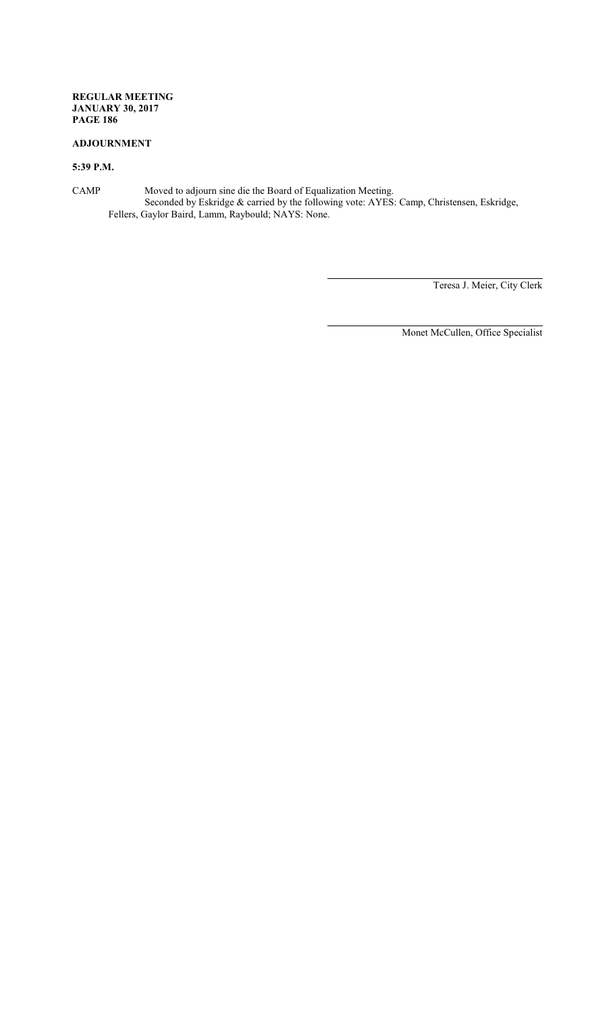## **ADJOURNMENT**

## **5:39 P.M.**

CAMP Moved to adjourn sine die the Board of Equalization Meeting. Seconded by Eskridge & carried by the following vote: AYES: Camp, Christensen, Eskridge, Fellers, Gaylor Baird, Lamm, Raybould; NAYS: None.

Teresa J. Meier, City Clerk

Monet McCullen, Office Specialist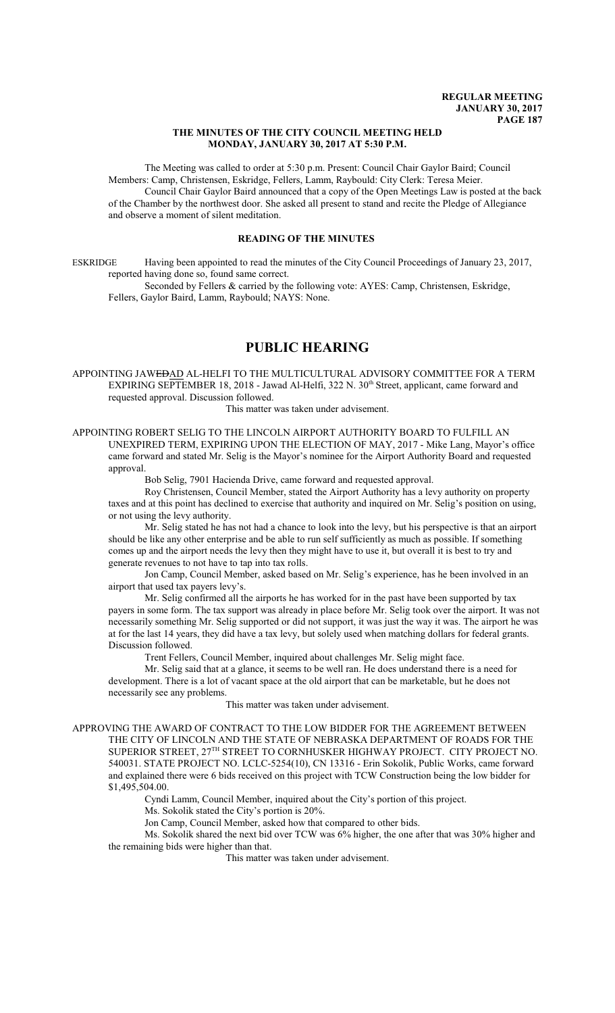#### **THE MINUTES OF THE CITY COUNCIL MEETING HELD MONDAY, JANUARY 30, 2017 AT 5:30 P.M.**

The Meeting was called to order at 5:30 p.m. Present: Council Chair Gaylor Baird; Council Members: Camp, Christensen, Eskridge, Fellers, Lamm, Raybould: City Clerk: Teresa Meier. Council Chair Gaylor Baird announced that a copy of the Open Meetings Law is posted at the back of the Chamber by the northwest door. She asked all present to stand and recite the Pledge of Allegiance and observe a moment of silent meditation.

## **READING OF THE MINUTES**

ESKRIDGE Having been appointed to read the minutes of the City Council Proceedings of January 23, 2017, reported having done so, found same correct.

Seconded by Fellers & carried by the following vote: AYES: Camp, Christensen, Eskridge, Fellers, Gaylor Baird, Lamm, Raybould; NAYS: None.

## **PUBLIC HEARING**

APPOINTING JAWEDAD AL-HELFI TO THE MULTICULTURAL ADVISORY COMMITTEE FOR A TERM EXPIRING SEPTEMBER 18, 2018 - Jawad Al-Helfi, 322 N. 30<sup>th</sup> Street, applicant, came forward and requested approval. Discussion followed.

This matter was taken under advisement.

APPOINTING ROBERT SELIG TO THE LINCOLN AIRPORT AUTHORITY BOARD TO FULFILL AN UNEXPIRED TERM, EXPIRING UPON THE ELECTION OF MAY, 2017 - Mike Lang, Mayor's office came forward and stated Mr. Selig is the Mayor's nominee for the Airport Authority Board and requested approval

Bob Selig, 7901 Hacienda Drive, came forward and requested approval.

Roy Christensen, Council Member, stated the Airport Authority has a levy authority on property taxes and at this point has declined to exercise that authority and inquired on Mr. Selig's position on using, or not using the levy authority.

Mr. Selig stated he has not had a chance to look into the levy, but his perspective is that an airport should be like any other enterprise and be able to run self sufficiently as much as possible. If something comes up and the airport needs the levy then they might have to use it, but overall it is best to try and generate revenues to not have to tap into tax rolls.

Jon Camp, Council Member, asked based on Mr. Selig's experience, has he been involved in an airport that used tax payers levy's.

Mr. Selig confirmed all the airports he has worked for in the past have been supported by tax payers in some form. The tax support was already in place before Mr. Selig took over the airport. It was not necessarily something Mr. Selig supported or did not support, it was just the way it was. The airport he was at for the last 14 years, they did have a tax levy, but solely used when matching dollars for federal grants. Discussion followed.

Trent Fellers, Council Member, inquired about challenges Mr. Selig might face.

Mr. Selig said that at a glance, it seems to be well ran. He does understand there is a need for development. There is a lot of vacant space at the old airport that can be marketable, but he does not necessarily see any problems.

This matter was taken under advisement.

APPROVING THE AWARD OF CONTRACT TO THE LOW BIDDER FOR THE AGREEMENT BETWEEN THE CITY OF LINCOLN AND THE STATE OF NEBRASKA DEPARTMENT OF ROADS FOR THE SUPERIOR STREET,  $27^{\text{TH}}$  STREET TO CORNHUSKER HIGHWAY PROJECT. CITY PROJECT NO. 540031. STATE PROJECT NO. LCLC-5254(10), CN 13316 - Erin Sokolik, Public Works, came forward and explained there were 6 bids received on this project with TCW Construction being the low bidder for \$1,495,504.00.

Cyndi Lamm, Council Member, inquired about the City's portion of this project.

Ms. Sokolik stated the City's portion is 20%.

Jon Camp, Council Member, asked how that compared to other bids.

Ms. Sokolik shared the next bid over TCW was 6% higher, the one after that was 30% higher and the remaining bids were higher than that.

This matter was taken under advisement.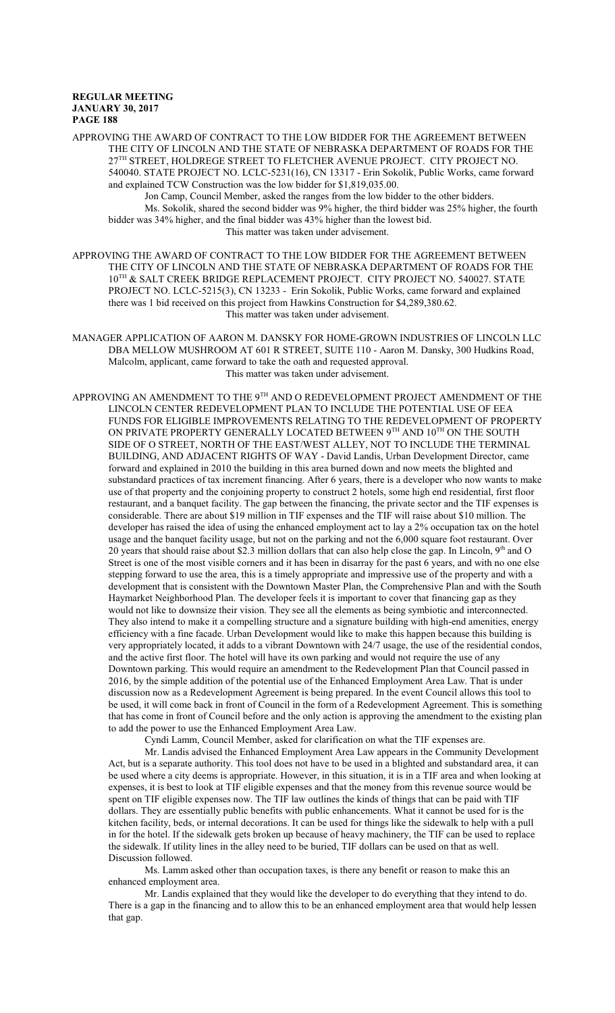APPROVING THE AWARD OF CONTRACT TO THE LOW BIDDER FOR THE AGREEMENT BETWEEN THE CITY OF LINCOLN AND THE STATE OF NEBRASKA DEPARTMENT OF ROADS FOR THE 27 TH STREET, HOLDREGE STREET TO FLETCHER AVENUE PROJECT. CITY PROJECT NO. 540040. STATE PROJECT NO. LCLC-5231(16), CN 13317 - Erin Sokolik, Public Works, came forward and explained TCW Construction was the low bidder for \$1,819,035.00.

Jon Camp, Council Member, asked the ranges from the low bidder to the other bidders. Ms. Sokolik, shared the second bidder was 9% higher, the third bidder was 25% higher, the fourth bidder was 34% higher, and the final bidder was 43% higher than the lowest bid. This matter was taken under advisement.

APPROVING THE AWARD OF CONTRACT TO THE LOW BIDDER FOR THE AGREEMENT BETWEEN THE CITY OF LINCOLN AND THE STATE OF NEBRASKA DEPARTMENT OF ROADS FOR THE 10 TH & SALT CREEK BRIDGE REPLACEMENT PROJECT. CITY PROJECT NO. 540027. STATE PROJECT NO. LCLC-5215(3), CN 13233 - Erin Sokolik, Public Works, came forward and explained there was 1 bid received on this project from Hawkins Construction for \$4,289,380.62. This matter was taken under advisement.

MANAGER APPLICATION OF AARON M. DANSKY FOR HOME-GROWN INDUSTRIES OF LINCOLN LLC DBA MELLOW MUSHROOM AT 601 R STREET, SUITE 110 - Aaron M. Dansky, 300 Hudkins Road, Malcolm, applicant, came forward to take the oath and requested approval. This matter was taken under advisement.

APPROVING AN AMENDMENT TO THE  $9^{\text{\tiny{TH}}}$  AND O REDEVELOPMENT PROJECT AMENDMENT OF THE LINCOLN CENTER REDEVELOPMENT PLAN TO INCLUDE THE POTENTIAL USE OF EEA FUNDS FOR ELIGIBLE IMPROVEMENTS RELATING TO THE REDEVELOPMENT OF PROPERTY ON PRIVATE PROPERTY GENERALLY LOCATED BETWEEN  $9^{\text{\tiny{TH}}}$  and  $10^{\text{\tiny{TH}}}$  on the south SIDE OF O STREET, NORTH OF THE EAST/WEST ALLEY, NOT TO INCLUDE THE TERMINAL BUILDING, AND ADJACENT RIGHTS OF WAY - David Landis, Urban Development Director, came forward and explained in 2010 the building in this area burned down and now meets the blighted and substandard practices of tax increment financing. After 6 years, there is a developer who now wants to make use of that property and the conjoining property to construct 2 hotels, some high end residential, first floor restaurant, and a banquet facility. The gap between the financing, the private sector and the TIF expenses is considerable. There are about \$19 million in TIF expenses and the TIF will raise about \$10 million. The developer has raised the idea of using the enhanced employment act to lay a 2% occupation tax on the hotel usage and the banquet facility usage, but not on the parking and not the 6,000 square foot restaurant. Over 20 years that should raise about \$2.3 million dollars that can also help close the gap. In Lincoln, 9<sup>th</sup> and O Street is one of the most visible corners and it has been in disarray for the past 6 years, and with no one else stepping forward to use the area, this is a timely appropriate and impressive use of the property and with a development that is consistent with the Downtown Master Plan, the Comprehensive Plan and with the South Haymarket Neighborhood Plan. The developer feels it is important to cover that financing gap as they would not like to downsize their vision. They see all the elements as being symbiotic and interconnected. They also intend to make it a compelling structure and a signature building with high-end amenities, energy efficiency with a fine facade. Urban Development would like to make this happen because this building is very appropriately located, it adds to a vibrant Downtown with 24/7 usage, the use of the residential condos, and the active first floor. The hotel will have its own parking and would not require the use of any Downtown parking. This would require an amendment to the Redevelopment Plan that Council passed in 2016, by the simple addition of the potential use of the Enhanced Employment Area Law. That is under discussion now as a Redevelopment Agreement is being prepared. In the event Council allows this tool to be used, it will come back in front of Council in the form of a Redevelopment Agreement. This is something that has come in front of Council before and the only action is approving the amendment to the existing plan to add the power to use the Enhanced Employment Area Law.

Cyndi Lamm, Council Member, asked for clarification on what the TIF expenses are.

Mr. Landis advised the Enhanced Employment Area Law appears in the Community Development Act, but is a separate authority. This tool does not have to be used in a blighted and substandard area, it can be used where a city deems is appropriate. However, in this situation, it is in a TIF area and when looking at expenses, it is best to look at TIF eligible expenses and that the money from this revenue source would be spent on TIF eligible expenses now. The TIF law outlines the kinds of things that can be paid with TIF dollars. They are essentially public benefits with public enhancements. What it cannot be used for is the kitchen facility, beds, or internal decorations. It can be used for things like the sidewalk to help with a pull in for the hotel. If the sidewalk gets broken up because of heavy machinery, the TIF can be used to replace the sidewalk. If utility lines in the alley need to be buried, TIF dollars can be used on that as well. Discussion followed.

Ms. Lamm asked other than occupation taxes, is there any benefit or reason to make this an enhanced employment area.

Mr. Landis explained that they would like the developer to do everything that they intend to do. There is a gap in the financing and to allow this to be an enhanced employment area that would help lessen that gap.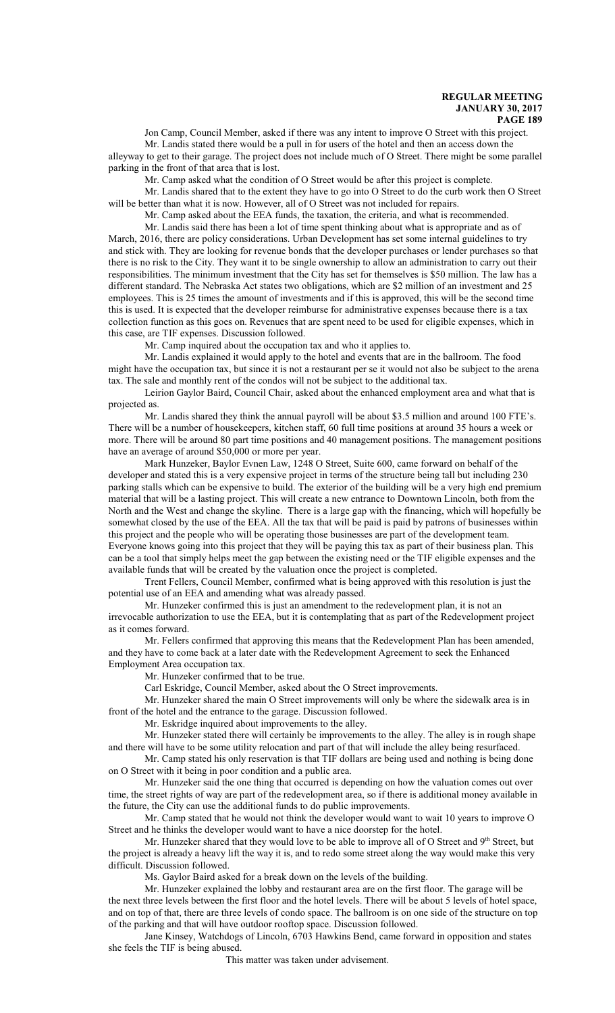Jon Camp, Council Member, asked if there was any intent to improve O Street with this project.

Mr. Landis stated there would be a pull in for users of the hotel and then an access down the alleyway to get to their garage. The project does not include much of O Street. There might be some parallel parking in the front of that area that is lost.

Mr. Camp asked what the condition of O Street would be after this project is complete.

Mr. Landis shared that to the extent they have to go into O Street to do the curb work then O Street will be better than what it is now. However, all of O Street was not included for repairs.

Mr. Camp asked about the EEA funds, the taxation, the criteria, and what is recommended.

Mr. Landis said there has been a lot of time spent thinking about what is appropriate and as of March, 2016, there are policy considerations. Urban Development has set some internal guidelines to try and stick with. They are looking for revenue bonds that the developer purchases or lender purchases so that there is no risk to the City. They want it to be single ownership to allow an administration to carry out their responsibilities. The minimum investment that the City has set for themselves is \$50 million. The law has a different standard. The Nebraska Act states two obligations, which are \$2 million of an investment and 25 employees. This is 25 times the amount of investments and if this is approved, this will be the second time this is used. It is expected that the developer reimburse for administrative expenses because there is a tax collection function as this goes on. Revenues that are spent need to be used for eligible expenses, which in this case, are TIF expenses. Discussion followed.

Mr. Camp inquired about the occupation tax and who it applies to.

Mr. Landis explained it would apply to the hotel and events that are in the ballroom. The food might have the occupation tax, but since it is not a restaurant per se it would not also be subject to the arena tax. The sale and monthly rent of the condos will not be subject to the additional tax.

Leirion Gaylor Baird, Council Chair, asked about the enhanced employment area and what that is projected as.

Mr. Landis shared they think the annual payroll will be about \$3.5 million and around 100 FTE's. There will be a number of housekeepers, kitchen staff, 60 full time positions at around 35 hours a week or more. There will be around 80 part time positions and 40 management positions. The management positions have an average of around \$50,000 or more per year.

Mark Hunzeker, Baylor Evnen Law, 1248 O Street, Suite 600, came forward on behalf of the developer and stated this is a very expensive project in terms of the structure being tall but including 230 parking stalls which can be expensive to build. The exterior of the building will be a very high end premium material that will be a lasting project. This will create a new entrance to Downtown Lincoln, both from the North and the West and change the skyline. There is a large gap with the financing, which will hopefully be somewhat closed by the use of the EEA. All the tax that will be paid is paid by patrons of businesses within this project and the people who will be operating those businesses are part of the development team. Everyone knows going into this project that they will be paying this tax as part of their business plan. This can be a tool that simply helps meet the gap between the existing need or the TIF eligible expenses and the available funds that will be created by the valuation once the project is completed.

Trent Fellers, Council Member, confirmed what is being approved with this resolution is just the potential use of an EEA and amending what was already passed.

Mr. Hunzeker confirmed this is just an amendment to the redevelopment plan, it is not an irrevocable authorization to use the EEA, but it is contemplating that as part of the Redevelopment project as it comes forward.

Mr. Fellers confirmed that approving this means that the Redevelopment Plan has been amended, and they have to come back at a later date with the Redevelopment Agreement to seek the Enhanced Employment Area occupation tax.

Mr. Hunzeker confirmed that to be true.

Carl Eskridge, Council Member, asked about the O Street improvements.

Mr. Hunzeker shared the main O Street improvements will only be where the sidewalk area is in front of the hotel and the entrance to the garage. Discussion followed.

Mr. Eskridge inquired about improvements to the alley.

Mr. Hunzeker stated there will certainly be improvements to the alley. The alley is in rough shape and there will have to be some utility relocation and part of that will include the alley being resurfaced.

Mr. Camp stated his only reservation is that TIF dollars are being used and nothing is being done on O Street with it being in poor condition and a public area.

Mr. Hunzeker said the one thing that occurred is depending on how the valuation comes out over time, the street rights of way are part of the redevelopment area, so if there is additional money available in the future, the City can use the additional funds to do public improvements.

Mr. Camp stated that he would not think the developer would want to wait 10 years to improve O Street and he thinks the developer would want to have a nice doorstep for the hotel.

Mr. Hunzeker shared that they would love to be able to improve all of O Street and  $9<sup>th</sup>$  Street, but the project is already a heavy lift the way it is, and to redo some street along the way would make this very difficult. Discussion followed.

Ms. Gaylor Baird asked for a break down on the levels of the building.

Mr. Hunzeker explained the lobby and restaurant area are on the first floor. The garage will be the next three levels between the first floor and the hotel levels. There will be about 5 levels of hotel space, and on top of that, there are three levels of condo space. The ballroom is on one side of the structure on top of the parking and that will have outdoor rooftop space. Discussion followed.

Jane Kinsey, Watchdogs of Lincoln, 6703 Hawkins Bend, came forward in opposition and states she feels the TIF is being abused.

This matter was taken under advisement.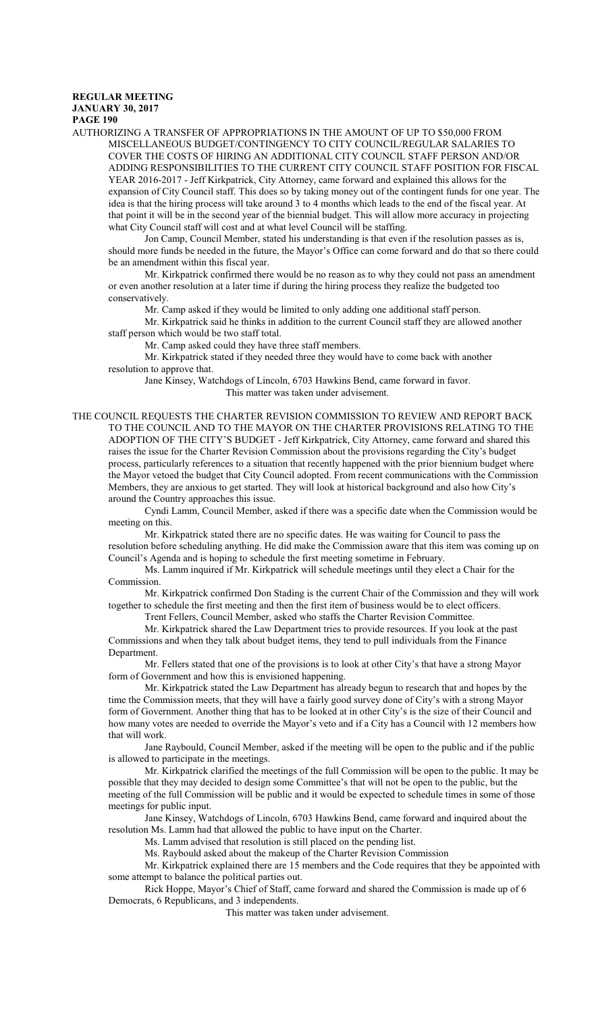AUTHORIZING A TRANSFER OF APPROPRIATIONS IN THE AMOUNT OF UP TO \$50,000 FROM MISCELLANEOUS BUDGET/CONTINGENCY TO CITY COUNCIL/REGULAR SALARIES TO COVER THE COSTS OF HIRING AN ADDITIONAL CITY COUNCIL STAFF PERSON AND/OR ADDING RESPONSIBILITIES TO THE CURRENT CITY COUNCIL STAFF POSITION FOR FISCAL YEAR 2016-2017 - Jeff Kirkpatrick, City Attorney, came forward and explained this allows for the expansion of City Council staff. This does so by taking money out of the contingent funds for one year. The idea is that the hiring process will take around 3 to 4 months which leads to the end of the fiscal year. At that point it will be in the second year of the biennial budget. This will allow more accuracy in projecting what City Council staff will cost and at what level Council will be staffing.

Jon Camp, Council Member, stated his understanding is that even if the resolution passes as is, should more funds be needed in the future, the Mayor's Office can come forward and do that so there could be an amendment within this fiscal year.

Mr. Kirkpatrick confirmed there would be no reason as to why they could not pass an amendment or even another resolution at a later time if during the hiring process they realize the budgeted too conservatively.

Mr. Camp asked if they would be limited to only adding one additional staff person.

Mr. Kirkpatrick said he thinks in addition to the current Council staff they are allowed another staff person which would be two staff total.

Mr. Camp asked could they have three staff members.

Mr. Kirkpatrick stated if they needed three they would have to come back with another resolution to approve that.

Jane Kinsey, Watchdogs of Lincoln, 6703 Hawkins Bend, came forward in favor. This matter was taken under advisement.

THE COUNCIL REQUESTS THE CHARTER REVISION COMMISSION TO REVIEW AND REPORT BACK TO THE COUNCIL AND TO THE MAYOR ON THE CHARTER PROVISIONS RELATING TO THE ADOPTION OF THE CITY'S BUDGET - Jeff Kirkpatrick, City Attorney, came forward and shared this raises the issue for the Charter Revision Commission about the provisions regarding the City's budget process, particularly references to a situation that recently happened with the prior biennium budget where the Mayor vetoed the budget that City Council adopted. From recent communications with the Commission Members, they are anxious to get started. They will look at historical background and also how City's around the Country approaches this issue.

Cyndi Lamm, Council Member, asked if there was a specific date when the Commission would be meeting on this.

Mr. Kirkpatrick stated there are no specific dates. He was waiting for Council to pass the resolution before scheduling anything. He did make the Commission aware that this item was coming up on Council's Agenda and is hoping to schedule the first meeting sometime in February.

Ms. Lamm inquired if Mr. Kirkpatrick will schedule meetings until they elect a Chair for the Commission.

Mr. Kirkpatrick confirmed Don Stading is the current Chair of the Commission and they will work together to schedule the first meeting and then the first item of business would be to elect officers.

Trent Fellers, Council Member, asked who staffs the Charter Revision Committee.

Mr. Kirkpatrick shared the Law Department tries to provide resources. If you look at the past Commissions and when they talk about budget items, they tend to pull individuals from the Finance Department.

Mr. Fellers stated that one of the provisions is to look at other City's that have a strong Mayor form of Government and how this is envisioned happening.

Mr. Kirkpatrick stated the Law Department has already begun to research that and hopes by the time the Commission meets, that they will have a fairly good survey done of City's with a strong Mayor form of Government. Another thing that has to be looked at in other City's is the size of their Council and how many votes are needed to override the Mayor's veto and if a City has a Council with 12 members how that will work.

Jane Raybould, Council Member, asked if the meeting will be open to the public and if the public is allowed to participate in the meetings.

Mr. Kirkpatrick clarified the meetings of the full Commission will be open to the public. It may be possible that they may decided to design some Committee's that will not be open to the public, but the meeting of the full Commission will be public and it would be expected to schedule times in some of those meetings for public input.

Jane Kinsey, Watchdogs of Lincoln, 6703 Hawkins Bend, came forward and inquired about the resolution Ms. Lamm had that allowed the public to have input on the Charter.

Ms. Lamm advised that resolution is still placed on the pending list.

Ms. Raybould asked about the makeup of the Charter Revision Commission

Mr. Kirkpatrick explained there are 15 members and the Code requires that they be appointed with some attempt to balance the political parties out.

Rick Hoppe, Mayor's Chief of Staff, came forward and shared the Commission is made up of 6 Democrats, 6 Republicans, and 3 independents.

This matter was taken under advisement.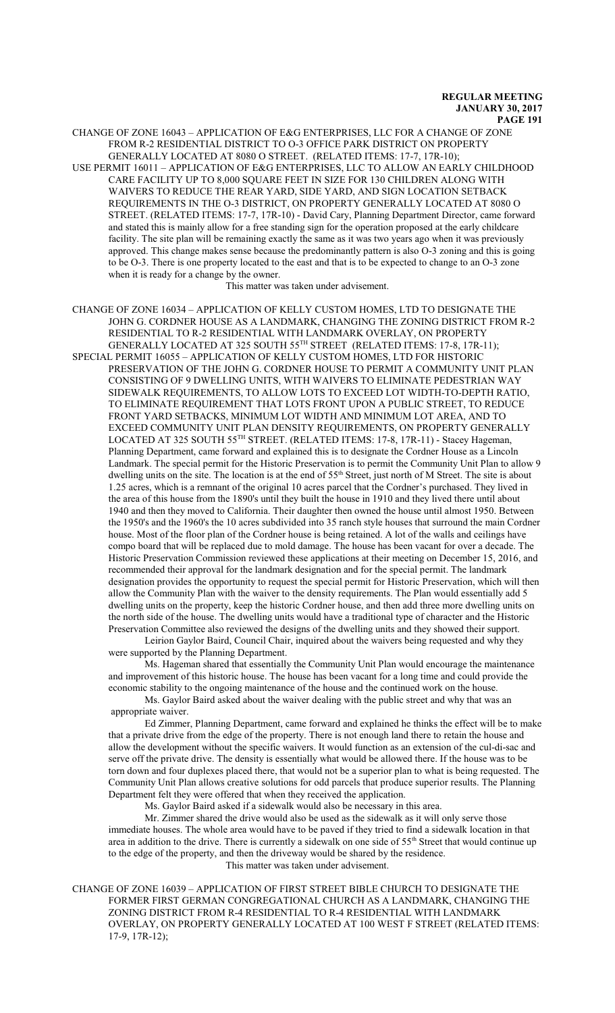CHANGE OF ZONE 16043 – APPLICATION OF E&G ENTERPRISES, LLC FOR A CHANGE OF ZONE FROM R-2 RESIDENTIAL DISTRICT TO O-3 OFFICE PARK DISTRICT ON PROPERTY GENERALLY LOCATED AT 8080 O STREET. (RELATED ITEMS: 17-7, 17R-10);

USE PERMIT 16011 – APPLICATION OF E&G ENTERPRISES, LLC TO ALLOW AN EARLY CHILDHOOD CARE FACILITY UP TO 8,000 SQUARE FEET IN SIZE FOR 130 CHILDREN ALONG WITH WAIVERS TO REDUCE THE REAR YARD, SIDE YARD, AND SIGN LOCATION SETBACK REQUIREMENTS IN THE O-3 DISTRICT, ON PROPERTY GENERALLY LOCATED AT 8080 O STREET. (RELATED ITEMS: 17-7, 17R-10) - David Cary, Planning Department Director, came forward and stated this is mainly allow for a free standing sign for the operation proposed at the early childcare facility. The site plan will be remaining exactly the same as it was two years ago when it was previously approved. This change makes sense because the predominantly pattern is also O-3 zoning and this is going to be O-3. There is one property located to the east and that is to be expected to change to an O-3 zone when it is ready for a change by the owner.

This matter was taken under advisement.

CHANGE OF ZONE 16034 – APPLICATION OF KELLY CUSTOM HOMES, LTD TO DESIGNATE THE JOHN G. CORDNER HOUSE AS A LANDMARK, CHANGING THE ZONING DISTRICT FROM R-2 RESIDENTIAL TO R-2 RESIDENTIAL WITH LANDMARK OVERLAY, ON PROPERTY GENERALLY LOCATED AT 325 SOUTH 55 TH STREET (RELATED ITEMS: 17-8, 17R-11); SPECIAL PERMIT 16055 – APPLICATION OF KELLY CUSTOM HOMES, LTD FOR HISTORIC PRESERVATION OF THE JOHN G. CORDNER HOUSE TO PERMIT A COMMUNITY UNIT PLAN CONSISTING OF 9 DWELLING UNITS, WITH WAIVERS TO ELIMINATE PEDESTRIAN WAY SIDEWALK REQUIREMENTS, TO ALLOW LOTS TO EXCEED LOT WIDTH-TO-DEPTH RATIO, TO ELIMINATE REQUIREMENT THAT LOTS FRONT UPON A PUBLIC STREET, TO REDUCE FRONT YARD SETBACKS, MINIMUM LOT WIDTH AND MINIMUM LOT AREA, AND TO EXCEED COMMUNITY UNIT PLAN DENSITY REQUIREMENTS, ON PROPERTY GENERALLY LOCATED AT 325 SOUTH 55<sup>TH</sup> STREET. (RELATED ITEMS: 17-8, 17R-11) - Stacey Hageman, Planning Department, came forward and explained this is to designate the Cordner House as a Lincoln Landmark. The special permit for the Historic Preservation is to permit the Community Unit Plan to allow 9 dwelling units on the site. The location is at the end of 55<sup>th</sup> Street, just north of M Street. The site is about 1.25 acres, which is a remnant of the original 10 acres parcel that the Cordner's purchased. They lived in the area of this house from the 1890's until they built the house in 1910 and they lived there until about 1940 and then they moved to California. Their daughter then owned the house until almost 1950. Between the 1950's and the 1960's the 10 acres subdivided into 35 ranch style houses that surround the main Cordner house. Most of the floor plan of the Cordner house is being retained. A lot of the walls and ceilings have compo board that will be replaced due to mold damage. The house has been vacant for over a decade. The Historic Preservation Commission reviewed these applications at their meeting on December 15, 2016, and recommended their approval for the landmark designation and for the special permit. The landmark designation provides the opportunity to request the special permit for Historic Preservation, which will then allow the Community Plan with the waiver to the density requirements. The Plan would essentially add 5 dwelling units on the property, keep the historic Cordner house, and then add three more dwelling units on the north side of the house. The dwelling units would have a traditional type of character and the Historic Preservation Committee also reviewed the designs of the dwelling units and they showed their support.

Leirion Gaylor Baird, Council Chair, inquired about the waivers being requested and why they were supported by the Planning Department.

Ms. Hageman shared that essentially the Community Unit Plan would encourage the maintenance and improvement of this historic house. The house has been vacant for a long time and could provide the economic stability to the ongoing maintenance of the house and the continued work on the house.

Ms. Gaylor Baird asked about the waiver dealing with the public street and why that was an appropriate waiver.

Ed Zimmer, Planning Department, came forward and explained he thinks the effect will be to make that a private drive from the edge of the property. There is not enough land there to retain the house and allow the development without the specific waivers. It would function as an extension of the cul-di-sac and serve off the private drive. The density is essentially what would be allowed there. If the house was to be torn down and four duplexes placed there, that would not be a superior plan to what is being requested. The Community Unit Plan allows creative solutions for odd parcels that produce superior results. The Planning Department felt they were offered that when they received the application.

Ms. Gaylor Baird asked if a sidewalk would also be necessary in this area.

Mr. Zimmer shared the drive would also be used as the sidewalk as it will only serve those immediate houses. The whole area would have to be paved if they tried to find a sidewalk location in that area in addition to the drive. There is currently a sidewalk on one side of 55<sup>th</sup> Street that would continue up to the edge of the property, and then the driveway would be shared by the residence. This matter was taken under advisement.

CHANGE OF ZONE 16039 – APPLICATION OF FIRST STREET BIBLE CHURCH TO DESIGNATE THE FORMER FIRST GERMAN CONGREGATIONAL CHURCH AS A LANDMARK, CHANGING THE ZONING DISTRICT FROM R-4 RESIDENTIAL TO R-4 RESIDENTIAL WITH LANDMARK OVERLAY, ON PROPERTY GENERALLY LOCATED AT 100 WEST F STREET (RELATED ITEMS: 17-9, 17R-12);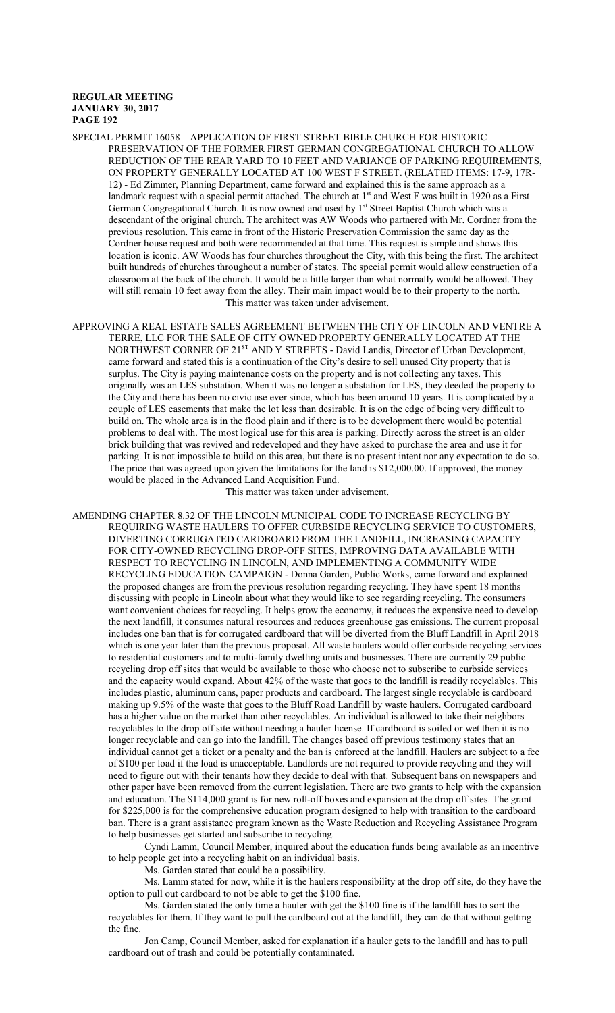- SPECIAL PERMIT 16058 APPLICATION OF FIRST STREET BIBLE CHURCH FOR HISTORIC PRESERVATION OF THE FORMER FIRST GERMAN CONGREGATIONAL CHURCH TO ALLOW REDUCTION OF THE REAR YARD TO 10 FEET AND VARIANCE OF PARKING REQUIREMENTS, ON PROPERTY GENERALLY LOCATED AT 100 WEST F STREET. (RELATED ITEMS: 17-9, 17R-12) - Ed Zimmer, Planning Department, came forward and explained this is the same approach as a landmark request with a special permit attached. The church at 1<sup>st</sup> and West F was built in 1920 as a First German Congregational Church. It is now owned and used by 1st Street Baptist Church which was a descendant of the original church. The architect was AW Woods who partnered with Mr. Cordner from the previous resolution. This came in front of the Historic Preservation Commission the same day as the Cordner house request and both were recommended at that time. This request is simple and shows this location is iconic. AW Woods has four churches throughout the City, with this being the first. The architect built hundreds of churches throughout a number of states. The special permit would allow construction of a classroom at the back of the church. It would be a little larger than what normally would be allowed. They will still remain 10 feet away from the alley. Their main impact would be to their property to the north. This matter was taken under advisement.
- APPROVING A REAL ESTATE SALES AGREEMENT BETWEEN THE CITY OF LINCOLN AND VENTRE A TERRE, LLC FOR THE SALE OF CITY OWNED PROPERTY GENERALLY LOCATED AT THE NORTHWEST CORNER OF 21<sup>ST</sup> AND Y STREETS - David Landis, Director of Urban Development, came forward and stated this is a continuation of the City's desire to sell unused City property that is surplus. The City is paying maintenance costs on the property and is not collecting any taxes. This originally was an LES substation. When it was no longer a substation for LES, they deeded the property to the City and there has been no civic use ever since, which has been around 10 years. It is complicated by a couple of LES easements that make the lot less than desirable. It is on the edge of being very difficult to build on. The whole area is in the flood plain and if there is to be development there would be potential problems to deal with. The most logical use for this area is parking. Directly across the street is an older brick building that was revived and redeveloped and they have asked to purchase the area and use it for parking. It is not impossible to build on this area, but there is no present intent nor any expectation to do so. The price that was agreed upon given the limitations for the land is \$12,000.00. If approved, the money would be placed in the Advanced Land Acquisition Fund.

This matter was taken under advisement.

AMENDING CHAPTER 8.32 OF THE LINCOLN MUNICIPAL CODE TO INCREASE RECYCLING BY REQUIRING WASTE HAULERS TO OFFER CURBSIDE RECYCLING SERVICE TO CUSTOMERS, DIVERTING CORRUGATED CARDBOARD FROM THE LANDFILL, INCREASING CAPACITY FOR CITY-OWNED RECYCLING DROP-OFF SITES, IMPROVING DATA AVAILABLE WITH RESPECT TO RECYCLING IN LINCOLN, AND IMPLEMENTING A COMMUNITY WIDE RECYCLING EDUCATION CAMPAIGN - Donna Garden, Public Works, came forward and explained the proposed changes are from the previous resolution regarding recycling. They have spent 18 months discussing with people in Lincoln about what they would like to see regarding recycling. The consumers want convenient choices for recycling. It helps grow the economy, it reduces the expensive need to develop the next landfill, it consumes natural resources and reduces greenhouse gas emissions. The current proposal includes one ban that is for corrugated cardboard that will be diverted from the Bluff Landfill in April 2018 which is one year later than the previous proposal. All waste haulers would offer curbside recycling services to residential customers and to multi-family dwelling units and businesses. There are currently 29 public recycling drop off sites that would be available to those who choose not to subscribe to curbside services and the capacity would expand. About 42% of the waste that goes to the landfill is readily recyclables. This includes plastic, aluminum cans, paper products and cardboard. The largest single recyclable is cardboard making up 9.5% of the waste that goes to the Bluff Road Landfill by waste haulers. Corrugated cardboard has a higher value on the market than other recyclables. An individual is allowed to take their neighbors recyclables to the drop off site without needing a hauler license. If cardboard is soiled or wet then it is no longer recyclable and can go into the landfill. The changes based off previous testimony states that an individual cannot get a ticket or a penalty and the ban is enforced at the landfill. Haulers are subject to a fee of \$100 per load if the load is unacceptable. Landlords are not required to provide recycling and they will need to figure out with their tenants how they decide to deal with that. Subsequent bans on newspapers and other paper have been removed from the current legislation. There are two grants to help with the expansion and education. The \$114,000 grant is for new roll-off boxes and expansion at the drop off sites. The grant for \$225,000 is for the comprehensive education program designed to help with transition to the cardboard ban. There is a grant assistance program known as the Waste Reduction and Recycling Assistance Program to help businesses get started and subscribe to recycling.

Cyndi Lamm, Council Member, inquired about the education funds being available as an incentive to help people get into a recycling habit on an individual basis.

Ms. Garden stated that could be a possibility.

Ms. Lamm stated for now, while it is the haulers responsibility at the drop off site, do they have the option to pull out cardboard to not be able to get the \$100 fine.

Ms. Garden stated the only time a hauler with get the \$100 fine is if the landfill has to sort the recyclables for them. If they want to pull the cardboard out at the landfill, they can do that without getting the fine.

Jon Camp, Council Member, asked for explanation if a hauler gets to the landfill and has to pull cardboard out of trash and could be potentially contaminated.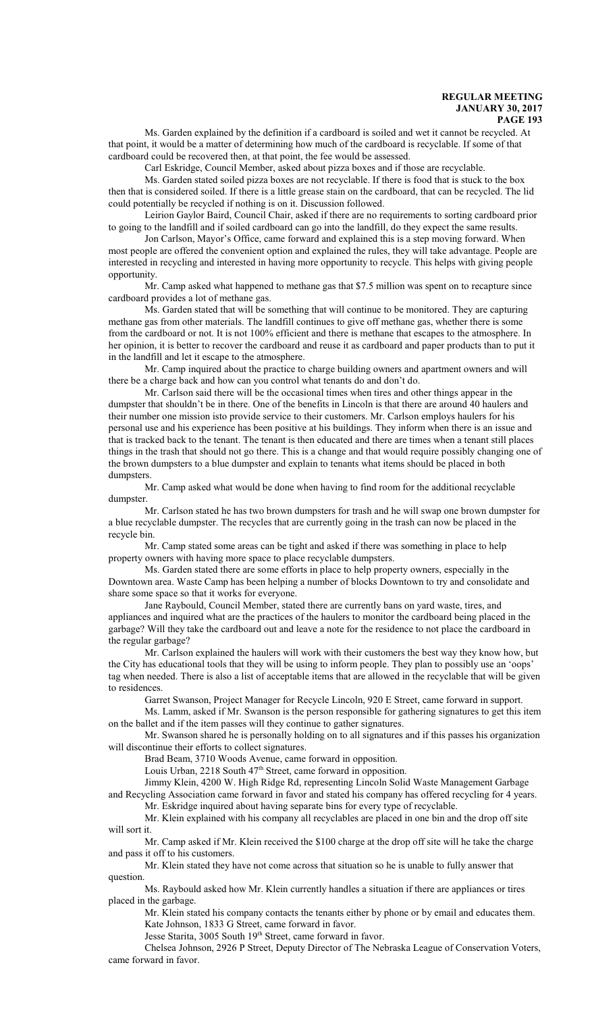Ms. Garden explained by the definition if a cardboard is soiled and wet it cannot be recycled. At that point, it would be a matter of determining how much of the cardboard is recyclable. If some of that cardboard could be recovered then, at that point, the fee would be assessed.

Carl Eskridge, Council Member, asked about pizza boxes and if those are recyclable.

Ms. Garden stated soiled pizza boxes are not recyclable. If there is food that is stuck to the box then that is considered soiled. If there is a little grease stain on the cardboard, that can be recycled. The lid could potentially be recycled if nothing is on it. Discussion followed.

Leirion Gaylor Baird, Council Chair, asked if there are no requirements to sorting cardboard prior to going to the landfill and if soiled cardboard can go into the landfill, do they expect the same results.

Jon Carlson, Mayor's Office, came forward and explained this is a step moving forward. When most people are offered the convenient option and explained the rules, they will take advantage. People are interested in recycling and interested in having more opportunity to recycle. This helps with giving people opportunity.

Mr. Camp asked what happened to methane gas that \$7.5 million was spent on to recapture since cardboard provides a lot of methane gas.

Ms. Garden stated that will be something that will continue to be monitored. They are capturing methane gas from other materials. The landfill continues to give off methane gas, whether there is some from the cardboard or not. It is not 100% efficient and there is methane that escapes to the atmosphere. In her opinion, it is better to recover the cardboard and reuse it as cardboard and paper products than to put it in the landfill and let it escape to the atmosphere.

Mr. Camp inquired about the practice to charge building owners and apartment owners and will there be a charge back and how can you control what tenants do and don't do.

Mr. Carlson said there will be the occasional times when tires and other things appear in the dumpster that shouldn't be in there. One of the benefits in Lincoln is that there are around 40 haulers and their number one mission isto provide service to their customers. Mr. Carlson employs haulers for his personal use and his experience has been positive at his buildings. They inform when there is an issue and that is tracked back to the tenant. The tenant is then educated and there are times when a tenant still places things in the trash that should not go there. This is a change and that would require possibly changing one of the brown dumpsters to a blue dumpster and explain to tenants what items should be placed in both dumpsters.

Mr. Camp asked what would be done when having to find room for the additional recyclable dumpster.

Mr. Carlson stated he has two brown dumpsters for trash and he will swap one brown dumpster for a blue recyclable dumpster. The recycles that are currently going in the trash can now be placed in the recycle bin.

Mr. Camp stated some areas can be tight and asked if there was something in place to help property owners with having more space to place recyclable dumpsters.

Ms. Garden stated there are some efforts in place to help property owners, especially in the Downtown area. Waste Camp has been helping a number of blocks Downtown to try and consolidate and share some space so that it works for everyone.

Jane Raybould, Council Member, stated there are currently bans on yard waste, tires, and appliances and inquired what are the practices of the haulers to monitor the cardboard being placed in the garbage? Will they take the cardboard out and leave a note for the residence to not place the cardboard in the regular garbage?

Mr. Carlson explained the haulers will work with their customers the best way they know how, but the City has educational tools that they will be using to inform people. They plan to possibly use an 'oops' tag when needed. There is also a list of acceptable items that are allowed in the recyclable that will be given to residences.

Garret Swanson, Project Manager for Recycle Lincoln, 920 E Street, came forward in support.

Ms. Lamm, asked if Mr. Swanson is the person responsible for gathering signatures to get this item on the ballet and if the item passes will they continue to gather signatures.

Mr. Swanson shared he is personally holding on to all signatures and if this passes his organization will discontinue their efforts to collect signatures.

Brad Beam, 3710 Woods Avenue, came forward in opposition.

Louis Urban, 2218 South 47<sup>th</sup> Street, came forward in opposition.

Jimmy Klein, 4200 W. High Ridge Rd, representing Lincoln Solid Waste Management Garbage and Recycling Association came forward in favor and stated his company has offered recycling for 4 years.

Mr. Eskridge inquired about having separate bins for every type of recyclable.

Mr. Klein explained with his company all recyclables are placed in one bin and the drop off site will sort it.

Mr. Camp asked if Mr. Klein received the \$100 charge at the drop off site will he take the charge and pass it off to his customers.

Mr. Klein stated they have not come across that situation so he is unable to fully answer that question.

Ms. Raybould asked how Mr. Klein currently handles a situation if there are appliances or tires placed in the garbage.

Mr. Klein stated his company contacts the tenants either by phone or by email and educates them. Kate Johnson, 1833 G Street, came forward in favor.

Jesse Starita, 3005 South 19<sup>th</sup> Street, came forward in favor.

Chelsea Johnson, 2926 P Street, Deputy Director of The Nebraska League of Conservation Voters, came forward in favor.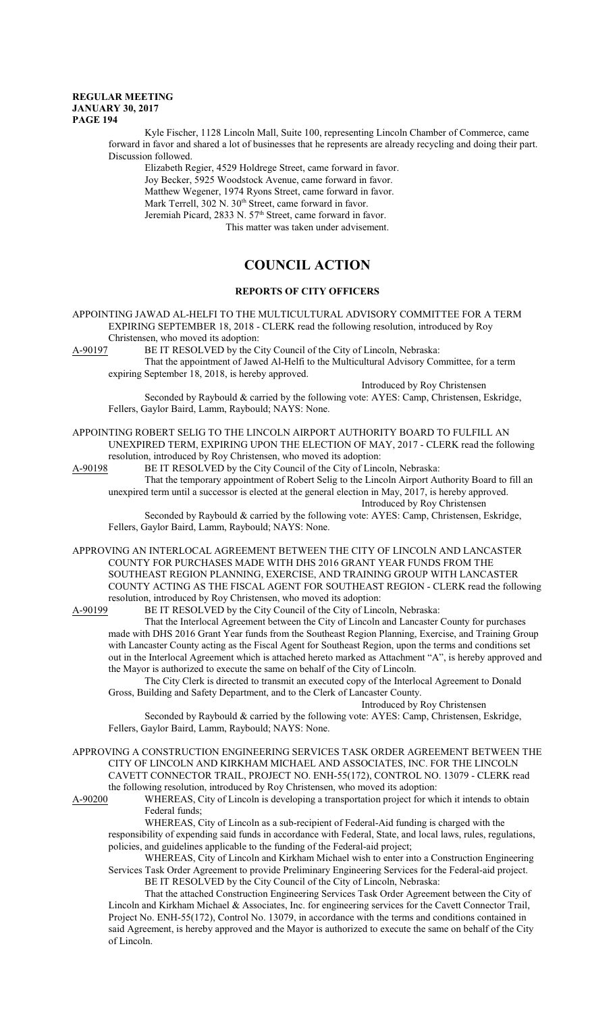Kyle Fischer, 1128 Lincoln Mall, Suite 100, representing Lincoln Chamber of Commerce, came forward in favor and shared a lot of businesses that he represents are already recycling and doing their part. Discussion followed.

Elizabeth Regier, 4529 Holdrege Street, came forward in favor. Joy Becker, 5925 Woodstock Avenue, came forward in favor. Matthew Wegener, 1974 Ryons Street, came forward in favor. Mark Terrell, 302 N. 30<sup>th</sup> Street, came forward in favor. Jeremiah Picard, 2833 N. 57<sup>th</sup> Street, came forward in favor. This matter was taken under advisement.

# **COUNCIL ACTION**

## **REPORTS OF CITY OFFICERS**

APPOINTING JAWAD AL-HELFI TO THE MULTICULTURAL ADVISORY COMMITTEE FOR A TERM EXPIRING SEPTEMBER 18, 2018 - CLERK read the following resolution, introduced by Roy Christensen, who moved its adoption:

A-90197 BE IT RESOLVED by the City Council of the City of Lincoln, Nebraska:

That the appointment of Jawed Al-Helfi to the Multicultural Advisory Committee, for a term expiring September 18, 2018, is hereby approved.

Introduced by Roy Christensen

Seconded by Raybould & carried by the following vote: AYES: Camp, Christensen, Eskridge, Fellers, Gaylor Baird, Lamm, Raybould; NAYS: None.

APPOINTING ROBERT SELIG TO THE LINCOLN AIRPORT AUTHORITY BOARD TO FULFILL AN UNEXPIRED TERM, EXPIRING UPON THE ELECTION OF MAY, 2017 - CLERK read the following resolution, introduced by Roy Christensen, who moved its adoption:<br>A-90198 BE IT RESOLVED by the City Council of the City of Linco

BE IT RESOLVED by the City Council of the City of Lincoln, Nebraska:

That the temporary appointment of Robert Selig to the Lincoln Airport Authority Board to fill an unexpired term until a successor is elected at the general election in May, 2017, is hereby approved. Introduced by Roy Christensen

Seconded by Raybould & carried by the following vote: AYES: Camp, Christensen, Eskridge, Fellers, Gaylor Baird, Lamm, Raybould; NAYS: None.

APPROVING AN INTERLOCAL AGREEMENT BETWEEN THE CITY OF LINCOLN AND LANCASTER COUNTY FOR PURCHASES MADE WITH DHS 2016 GRANT YEAR FUNDS FROM THE SOUTHEAST REGION PLANNING, EXERCISE, AND TRAINING GROUP WITH LANCASTER COUNTY ACTING AS THE FISCAL AGENT FOR SOUTHEAST REGION - CLERK read the following resolution, introduced by Roy Christensen, who moved its adoption:<br>A-90199 BE IT RESOLVED by the City Council of the City of Linco

BE IT RESOLVED by the City Council of the City of Lincoln, Nebraska:

That the Interlocal Agreement between the City of Lincoln and Lancaster County for purchases made with DHS 2016 Grant Year funds from the Southeast Region Planning, Exercise, and Training Group with Lancaster County acting as the Fiscal Agent for Southeast Region, upon the terms and conditions set out in the Interlocal Agreement which is attached hereto marked as Attachment "A", is hereby approved and the Mayor is authorized to execute the same on behalf of the City of Lincoln.

The City Clerk is directed to transmit an executed copy of the Interlocal Agreement to Donald Gross, Building and Safety Department, and to the Clerk of Lancaster County.

Introduced by Roy Christensen

Seconded by Raybould & carried by the following vote: AYES: Camp, Christensen, Eskridge, Fellers, Gaylor Baird, Lamm, Raybould; NAYS: None.

APPROVING A CONSTRUCTION ENGINEERING SERVICES TASK ORDER AGREEMENT BETWEEN THE CITY OF LINCOLN AND KIRKHAM MICHAEL AND ASSOCIATES, INC. FOR THE LINCOLN CAVETT CONNECTOR TRAIL, PROJECT NO. ENH-55(172), CONTROL NO. 13079 - CLERK read the following resolution, introduced by Roy Christensen, who moved its adoption:<br>A-90200 WHEREAS, City of Lincoln is developing a transportation project for wh

WHEREAS, City of Lincoln is developing a transportation project for which it intends to obtain Federal funds;

WHEREAS, City of Lincoln as a sub-recipient of Federal-Aid funding is charged with the responsibility of expending said funds in accordance with Federal, State, and local laws, rules, regulations, policies, and guidelines applicable to the funding of the Federal-aid project;

WHEREAS, City of Lincoln and Kirkham Michael wish to enter into a Construction Engineering Services Task Order Agreement to provide Preliminary Engineering Services for the Federal-aid project. BE IT RESOLVED by the City Council of the City of Lincoln, Nebraska:

That the attached Construction Engineering Services Task Order Agreement between the City of Lincoln and Kirkham Michael & Associates, Inc. for engineering services for the Cavett Connector Trail, Project No. ENH-55(172), Control No. 13079, in accordance with the terms and conditions contained in said Agreement, is hereby approved and the Mayor is authorized to execute the same on behalf of the City of Lincoln.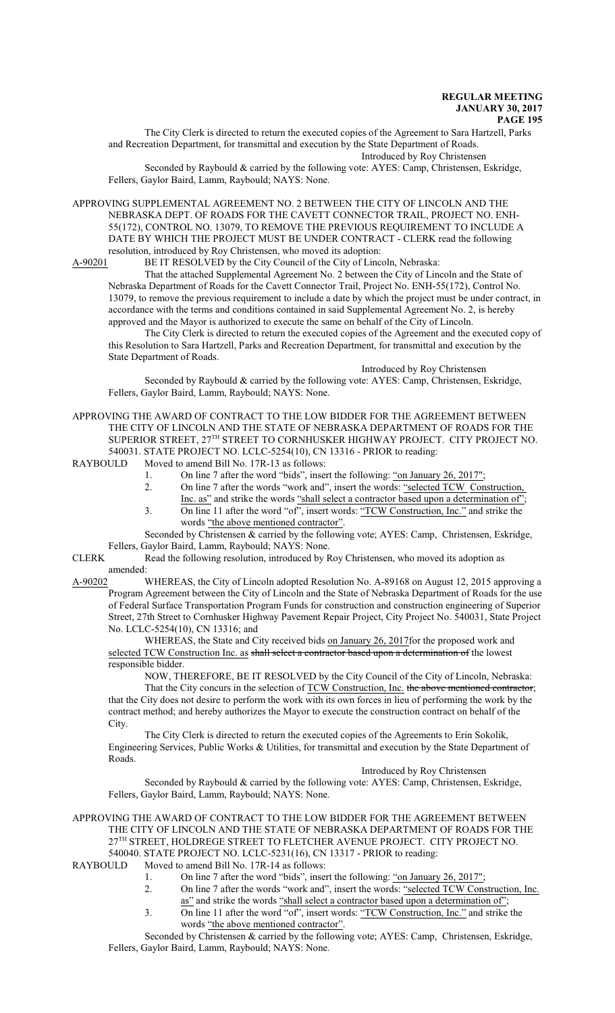The City Clerk is directed to return the executed copies of the Agreement to Sara Hartzell, Parks and Recreation Department, for transmittal and execution by the State Department of Roads. Introduced by Roy Christensen

Seconded by Raybould & carried by the following vote: AYES: Camp, Christensen, Eskridge, Fellers, Gaylor Baird, Lamm, Raybould; NAYS: None.

APPROVING SUPPLEMENTAL AGREEMENT NO. 2 BETWEEN THE CITY OF LINCOLN AND THE NEBRASKA DEPT. OF ROADS FOR THE CAVETT CONNECTOR TRAIL, PROJECT NO. ENH-55(172), CONTROL NO. 13079, TO REMOVE THE PREVIOUS REQUIREMENT TO INCLUDE A DATE BY WHICH THE PROJECT MUST BE UNDER CONTRACT - CLERK read the following resolution, introduced by Roy Christensen, who moved its adoption:

A-90201 BE IT RESOLVED by the City Council of the City of Lincoln, Nebraska:

That the attached Supplemental Agreement No. 2 between the City of Lincoln and the State of Nebraska Department of Roads for the Cavett Connector Trail, Project No. ENH-55(172), Control No. 13079, to remove the previous requirement to include a date by which the project must be under contract, in accordance with the terms and conditions contained in said Supplemental Agreement No. 2, is hereby approved and the Mayor is authorized to execute the same on behalf of the City of Lincoln.

The City Clerk is directed to return the executed copies of the Agreement and the executed copy of this Resolution to Sara Hartzell, Parks and Recreation Department, for transmittal and execution by the State Department of Roads.

Introduced by Roy Christensen

Seconded by Raybould & carried by the following vote: AYES: Camp, Christensen, Eskridge, Fellers, Gaylor Baird, Lamm, Raybould; NAYS: None.

APPROVING THE AWARD OF CONTRACT TO THE LOW BIDDER FOR THE AGREEMENT BETWEEN THE CITY OF LINCOLN AND THE STATE OF NEBRASKA DEPARTMENT OF ROADS FOR THE SUPERIOR STREET,  $27^{\text{TH}}$  STREET TO CORNHUSKER HIGHWAY PROJECT. CITY PROJECT NO. 540031. STATE PROJECT NO. LCLC-5254(10), CN 13316 - PRIOR to reading:

RAYBOULD Moved to amend Bill No. 17R-13 as follows:

- 1. On line 7 after the word "bids", insert the following: "on January 26, 2017";<br>2. On line 7 after the words "work and", insert the words: "selected TCW Con
- On line 7 after the words "work and", insert the words: "selected TCW Construction, Inc. as" and strike the words "shall select a contractor based upon a determination of";
- 3. On line 11 after the word "of", insert words: "TCW Construction, Inc." and strike the words "the above mentioned contractor".

Seconded by Christensen & carried by the following vote; AYES: Camp, Christensen, Eskridge, Fellers, Gaylor Baird, Lamm, Raybould; NAYS: None.

CLERK Read the following resolution, introduced by Roy Christensen, who moved its adoption as  $a$ mended:<br>A-90202

WHEREAS, the City of Lincoln adopted Resolution No. A-89168 on August 12, 2015 approving a Program Agreement between the City of Lincoln and the State of Nebraska Department of Roads for the use of Federal Surface Transportation Program Funds for construction and construction engineering of Superior Street, 27th Street to Cornhusker Highway Pavement Repair Project, City Project No. 540031, State Project No. LCLC-5254(10), CN 13316; and

WHEREAS, the State and City received bids on January 26, 2017for the proposed work and selected TCW Construction Inc. as shall select a contractor based upon a determination of the lowest responsible bidder.

NOW, THEREFORE, BE IT RESOLVED by the City Council of the City of Lincoln, Nebraska:

That the City concurs in the selection of TCW Construction, Inc. the above mentioned contractor; that the City does not desire to perform the work with its own forces in lieu of performing the work by the contract method; and hereby authorizes the Mayor to execute the construction contract on behalf of the City.

The City Clerk is directed to return the executed copies of the Agreements to Erin Sokolik, Engineering Services, Public Works & Utilities, for transmittal and execution by the State Department of Roads.

Introduced by Roy Christensen

Seconded by Raybould & carried by the following vote: AYES: Camp, Christensen, Eskridge, Fellers, Gaylor Baird, Lamm, Raybould; NAYS: None.

APPROVING THE AWARD OF CONTRACT TO THE LOW BIDDER FOR THE AGREEMENT BETWEEN THE CITY OF LINCOLN AND THE STATE OF NEBRASKA DEPARTMENT OF ROADS FOR THE 27 TH STREET, HOLDREGE STREET TO FLETCHER AVENUE PROJECT. CITY PROJECT NO. 540040. STATE PROJECT NO. LCLC-5231(16), CN 13317 - PRIOR to reading:<br>RAYBOULD Moved to amend Bill No. 17R-14 as follows:

- Moved to amend Bill No. 17R-14 as follows:
	- 1. On line 7 after the word "bids", insert the following: <u>"on January 26, 2017"</u>;<br>2. On line 7 after the words "work and", insert the words: "selected TCW Cons
	- 2. On line 7 after the words "work and", insert the words: "selected TCW Construction, Inc.
	- as" and strike the words "shall select a contractor based upon a determination of"; 3. On line 11 after the word "of", insert words: "TCW Construction, Inc." and strike the
		- words "the above mentioned contractor".

Seconded by Christensen & carried by the following vote; AYES: Camp, Christensen, Eskridge, Fellers, Gaylor Baird, Lamm, Raybould; NAYS: None.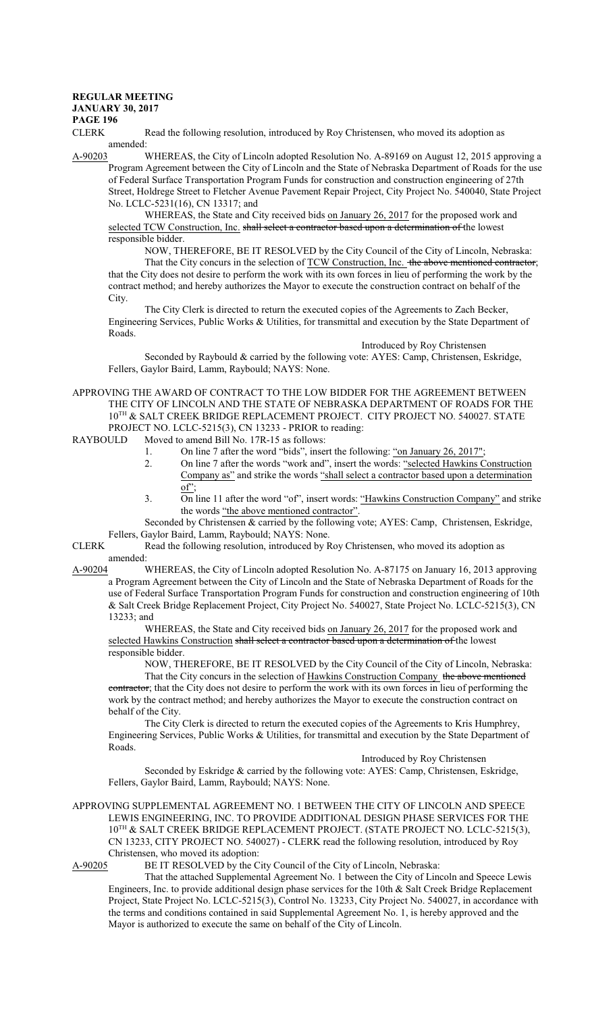## **REGULAR MEETING**

**PAGE 196**

CLERK Read the following resolution, introduced by Roy Christensen, who moved its adoption as  $amended: A-90203$ 

WHEREAS, the City of Lincoln adopted Resolution No. A-89169 on August 12, 2015 approving a Program Agreement between the City of Lincoln and the State of Nebraska Department of Roads for the use of Federal Surface Transportation Program Funds for construction and construction engineering of 27th Street, Holdrege Street to Fletcher Avenue Pavement Repair Project, City Project No. 540040, State Project No. LCLC-5231(16), CN 13317; and

WHEREAS, the State and City received bids on January 26, 2017 for the proposed work and selected TCW Construction, Inc. shall select a contractor based upon a determination of the lowest responsible bidder.

NOW, THEREFORE, BE IT RESOLVED by the City Council of the City of Lincoln, Nebraska: That the City concurs in the selection of TCW Construction, Inc. the above mentioned contractor; that the City does not desire to perform the work with its own forces in lieu of performing the work by the contract method; and hereby authorizes the Mayor to execute the construction contract on behalf of the City.

The City Clerk is directed to return the executed copies of the Agreements to Zach Becker, Engineering Services, Public Works & Utilities, for transmittal and execution by the State Department of Roads.

Introduced by Roy Christensen

Seconded by Raybould & carried by the following vote: AYES: Camp, Christensen, Eskridge, Fellers, Gaylor Baird, Lamm, Raybould; NAYS: None.

APPROVING THE AWARD OF CONTRACT TO THE LOW BIDDER FOR THE AGREEMENT BETWEEN THE CITY OF LINCOLN AND THE STATE OF NEBRASKA DEPARTMENT OF ROADS FOR THE 10<sup>TH</sup> & SALT CREEK BRIDGE REPLACEMENT PROJECT. CITY PROJECT NO. 540027. STATE PROJECT NO. LCLC-5215(3), CN 13233 - PRIOR to reading:<br>RAYBOULD Moved to amend Bill No. 17R-15 as follows:

Moved to amend Bill No. 17R-15 as follows:

- 1. On line 7 after the word "bids", insert the following: "on January 26, 2017";
- 2. On line 7 after the words "work and", insert the words: "selected Hawkins Construction Company as" and strike the words "shall select a contractor based upon a determination of";  $\overline{\phantom{a}}$
- 3. On line 11 after the word "of", insert words: "Hawkins Construction Company" and strike the words "the above mentioned contractor".
- Seconded by Christensen & carried by the following vote; AYES: Camp, Christensen, Eskridge, Fellers, Gaylor Baird, Lamm, Raybould; NAYS: None.
- CLERK Read the following resolution, introduced by Roy Christensen, who moved its adoption as amended:
- A-90204 WHEREAS, the City of Lincoln adopted Resolution No. A-87175 on January 16, 2013 approving a Program Agreement between the City of Lincoln and the State of Nebraska Department of Roads for the use of Federal Surface Transportation Program Funds for construction and construction engineering of 10th & Salt Creek Bridge Replacement Project, City Project No. 540027, State Project No. LCLC-5215(3), CN 13233; and

WHEREAS, the State and City received bids on January 26, 2017 for the proposed work and selected Hawkins Construction shall select a contractor based upon a determination of the lowest responsible bidder.

NOW, THEREFORE, BE IT RESOLVED by the City Council of the City of Lincoln, Nebraska:

That the City concurs in the selection of Hawkins Construction Company the above mentioned contractor; that the City does not desire to perform the work with its own forces in lieu of performing the work by the contract method; and hereby authorizes the Mayor to execute the construction contract on behalf of the City.

The City Clerk is directed to return the executed copies of the Agreements to Kris Humphrey, Engineering Services, Public Works & Utilities, for transmittal and execution by the State Department of Roads.

Introduced by Roy Christensen

Seconded by Eskridge & carried by the following vote: AYES: Camp, Christensen, Eskridge, Fellers, Gaylor Baird, Lamm, Raybould; NAYS: None.

APPROVING SUPPLEMENTAL AGREEMENT NO. 1 BETWEEN THE CITY OF LINCOLN AND SPEECE LEWIS ENGINEERING, INC. TO PROVIDE ADDITIONAL DESIGN PHASE SERVICES FOR THE 10<sup>TH</sup> & SALT CREEK BRIDGE REPLACEMENT PROJECT. (STATE PROJECT NO. LCLC-5215(3), CN 13233, CITY PROJECT NO. 540027) - CLERK read the following resolution, introduced by Roy Christensen, who moved its adoption:<br>A-90205 BE IT RESOLVED by the C

BE IT RESOLVED by the City Council of the City of Lincoln, Nebraska:

That the attached Supplemental Agreement No. 1 between the City of Lincoln and Speece Lewis Engineers, Inc. to provide additional design phase services for the 10th & Salt Creek Bridge Replacement Project, State Project No. LCLC-5215(3), Control No. 13233, City Project No. 540027, in accordance with the terms and conditions contained in said Supplemental Agreement No. 1, is hereby approved and the Mayor is authorized to execute the same on behalf of the City of Lincoln.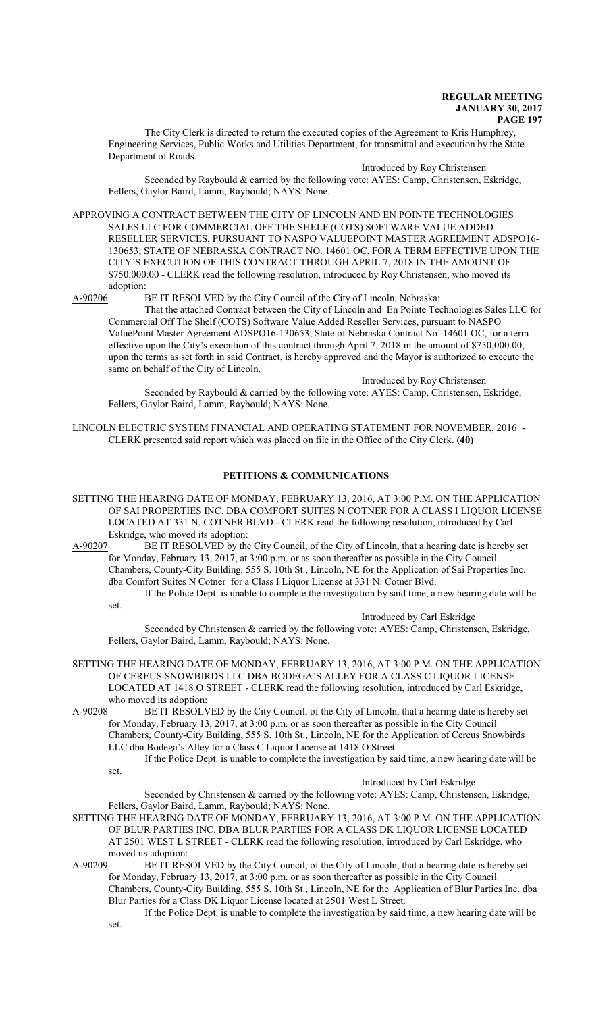The City Clerk is directed to return the executed copies of the Agreement to Kris Humphrey, Engineering Services, Public Works and Utilities Department, for transmittal and execution by the State Department of Roads.

Introduced by Roy Christensen

Seconded by Raybould & carried by the following vote: AYES: Camp, Christensen, Eskridge, Fellers, Gaylor Baird, Lamm, Raybould; NAYS: None.

APPROVING A CONTRACT BETWEEN THE CITY OF LINCOLN AND EN POINTE TECHNOLOGIES SALES LLC FOR COMMERCIAL OFF THE SHELF (COTS) SOFTWARE VALUE ADDED RESELLER SERVICES, PURSUANT TO NASPO VALUEPOINT MASTER AGREEMENT ADSPO16- 130653, STATE OF NEBRASKA CONTRACT NO. 14601 OC, FOR A TERM EFFECTIVE UPON THE CITY'S EXECUTION OF THIS CONTRACT THROUGH APRIL 7, 2018 IN THE AMOUNT OF \$750,000.00 - CLERK read the following resolution, introduced by Roy Christensen, who moved its adoption:<br>A-90206 H

BE IT RESOLVED by the City Council of the City of Lincoln, Nebraska:

That the attached Contract between the City of Lincoln and En Pointe Technologies Sales LLC for Commercial Off The Shelf (COTS) Software Value Added Reseller Services, pursuant to NASPO ValuePoint Master Agreement ADSPO16-130653, State of Nebraska Contract No. 14601 OC, for a term effective upon the City's execution of this contract through April 7, 2018 in the amount of \$750,000.00, upon the terms as set forth in said Contract, is hereby approved and the Mayor is authorized to execute the same on behalf of the City of Lincoln.

Introduced by Roy Christensen

Seconded by Raybould & carried by the following vote: AYES: Camp, Christensen, Eskridge, Fellers, Gaylor Baird, Lamm, Raybould; NAYS: None.

LINCOLN ELECTRIC SYSTEM FINANCIAL AND OPERATING STATEMENT FOR NOVEMBER, 2016 - CLERK presented said report which was placed on file in the Office of the City Clerk. **(40)**

## **PETITIONS & COMMUNICATIONS**

SETTING THE HEARING DATE OF MONDAY, FEBRUARY 13, 2016, AT 3:00 P.M. ON THE APPLICATION OF SAI PROPERTIES INC. DBA COMFORT SUITES N COTNER FOR A CLASS I LIQUOR LICENSE LOCATED AT 331 N. COTNER BLVD - CLERK read the following resolution, introduced by Carl Eskridge, who moved its adoption:

A-90207 BE IT RESOLVED by the City Council, of the City of Lincoln, that a hearing date is hereby set for Monday, February 13, 2017, at 3:00 p.m. or as soon thereafter as possible in the City Council Chambers, County-City Building, 555 S. 10th St., Lincoln, NE for the Application of Sai Properties Inc. dba Comfort Suites N Cotner for a Class I Liquor License at 331 N. Cotner Blvd.

If the Police Dept. is unable to complete the investigation by said time, a new hearing date will be set.

Introduced by Carl Eskridge

Seconded by Christensen & carried by the following vote: AYES: Camp, Christensen, Eskridge, Fellers, Gaylor Baird, Lamm, Raybould; NAYS: None.

SETTING THE HEARING DATE OF MONDAY, FEBRUARY 13, 2016, AT 3:00 P.M. ON THE APPLICATION OF CEREUS SNOWBIRDS LLC DBA BODEGA'S ALLEY FOR A CLASS C LIQUOR LICENSE LOCATED AT 1418 O STREET - CLERK read the following resolution, introduced by Carl Eskridge, who moved its adoption:

A-90208 BE IT RESOLVED by the City Council, of the City of Lincoln, that a hearing date is hereby set for Monday, February 13, 2017, at 3:00 p.m. or as soon thereafter as possible in the City Council Chambers, County-City Building, 555 S. 10th St., Lincoln, NE for the Application of Cereus Snowbirds LLC dba Bodega's Alley for a Class C Liquor License at 1418 O Street.

If the Police Dept. is unable to complete the investigation by said time, a new hearing date will be set.

#### Introduced by Carl Eskridge

Seconded by Christensen & carried by the following vote: AYES: Camp, Christensen, Eskridge, Fellers, Gaylor Baird, Lamm, Raybould; NAYS: None.

SETTING THE HEARING DATE OF MONDAY, FEBRUARY 13, 2016, AT 3:00 P.M. ON THE APPLICATION OF BLUR PARTIES INC. DBA BLUR PARTIES FOR A CLASS DK LIQUOR LICENSE LOCATED AT 2501 WEST L STREET - CLERK read the following resolution, introduced by Carl Eskridge, who moved its adoption:<br>A-90209 BE IT RES

BE IT RESOLVED by the City Council, of the City of Lincoln, that a hearing date is hereby set for Monday, February 13, 2017, at 3:00 p.m. or as soon thereafter as possible in the City Council Chambers, County-City Building, 555 S. 10th St., Lincoln, NE for the Application of Blur Parties Inc. dba Blur Parties for a Class DK Liquor License located at 2501 West L Street.

If the Police Dept. is unable to complete the investigation by said time, a new hearing date will be set.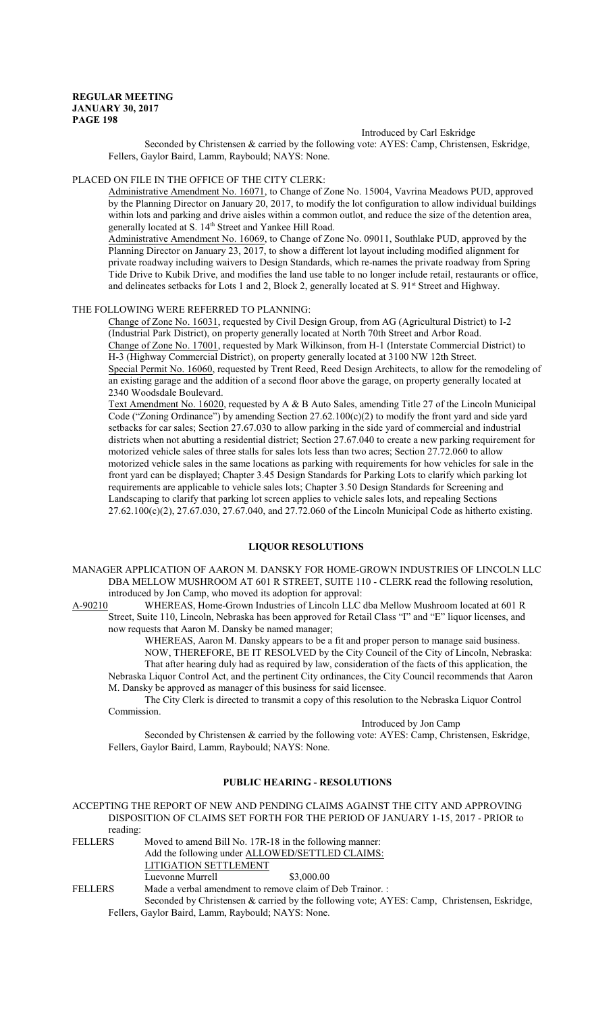### Introduced by Carl Eskridge

Seconded by Christensen & carried by the following vote: AYES: Camp, Christensen, Eskridge, Fellers, Gaylor Baird, Lamm, Raybould; NAYS: None.

PLACED ON FILE IN THE OFFICE OF THE CITY CLERK:

Administrative Amendment No. 16071, to Change of Zone No. 15004, Vavrina Meadows PUD, approved by the Planning Director on January 20, 2017, to modify the lot configuration to allow individual buildings within lots and parking and drive aisles within a common outlot, and reduce the size of the detention area, generally located at S. 14<sup>th</sup> Street and Yankee Hill Road.

Administrative Amendment No. 16069, to Change of Zone No. 09011, Southlake PUD, approved by the Planning Director on January 23, 2017, to show a different lot layout including modified alignment for private roadway including waivers to Design Standards, which re-names the private roadway from Spring Tide Drive to Kubik Drive, and modifies the land use table to no longer include retail, restaurants or office, and delineates setbacks for Lots 1 and 2, Block 2, generally located at S. 91<sup>st</sup> Street and Highway.

#### THE FOLLOWING WERE REFERRED TO PLANNING:

Change of Zone No. 16031, requested by Civil Design Group, from AG (Agricultural District) to I-2 (Industrial Park District), on property generally located at North 70th Street and Arbor Road. Change of Zone No. 17001, requested by Mark Wilkinson, from H-1 (Interstate Commercial District) to H-3 (Highway Commercial District), on property generally located at 3100 NW 12th Street. Special Permit No. 16060, requested by Trent Reed, Reed Design Architects, to allow for the remodeling of an existing garage and the addition of a second floor above the garage, on property generally located at 2340 Woodsdale Boulevard.

Text Amendment No. 16020, requested by A & B Auto Sales, amending Title 27 of the Lincoln Municipal Code ("Zoning Ordinance") by amending Section 27.62.100 $(c)(2)$  to modify the front yard and side yard setbacks for car sales; Section 27.67.030 to allow parking in the side yard of commercial and industrial districts when not abutting a residential district; Section 27.67.040 to create a new parking requirement for motorized vehicle sales of three stalls for sales lots less than two acres; Section 27.72.060 to allow motorized vehicle sales in the same locations as parking with requirements for how vehicles for sale in the front yard can be displayed; Chapter 3.45 Design Standards for Parking Lots to clarify which parking lot requirements are applicable to vehicle sales lots; Chapter 3.50 Design Standards for Screening and Landscaping to clarify that parking lot screen applies to vehicle sales lots, and repealing Sections 27.62.100(c)(2), 27.67.030, 27.67.040, and 27.72.060 of the Lincoln Municipal Code as hitherto existing.

## **LIQUOR RESOLUTIONS**

MANAGER APPLICATION OF AARON M. DANSKY FOR HOME-GROWN INDUSTRIES OF LINCOLN LLC DBA MELLOW MUSHROOM AT 601 R STREET, SUITE 110 - CLERK read the following resolution, introduced by Jon Camp, who moved its adoption for approval:

A-90210 WHEREAS, Home-Grown Industries of Lincoln LLC dba Mellow Mushroom located at 601 R Street, Suite 110, Lincoln, Nebraska has been approved for Retail Class "I" and "E" liquor licenses, and now requests that Aaron M. Dansky be named manager;

WHEREAS, Aaron M. Dansky appears to be a fit and proper person to manage said business. NOW, THEREFORE, BE IT RESOLVED by the City Council of the City of Lincoln, Nebraska: That after hearing duly had as required by law, consideration of the facts of this application, the

Nebraska Liquor Control Act, and the pertinent City ordinances, the City Council recommends that Aaron M. Dansky be approved as manager of this business for said licensee.

The City Clerk is directed to transmit a copy of this resolution to the Nebraska Liquor Control Commission.

## Introduced by Jon Camp

Seconded by Christensen & carried by the following vote: AYES: Camp, Christensen, Eskridge, Fellers, Gaylor Baird, Lamm, Raybould; NAYS: None.

#### **PUBLIC HEARING - RESOLUTIONS**

# ACCEPTING THE REPORT OF NEW AND PENDING CLAIMS AGAINST THE CITY AND APPROVING DISPOSITION OF CLAIMS SET FORTH FOR THE PERIOD OF JANUARY 1-15, 2017 - PRIOR to reading:<br>FELLERS

Moved to amend Bill No. 17R-18 in the following manner: Add the following under ALLOWED/SETTLED CLAIMS: LITIGATION SETTLEMENT Luevonne Murrell  $$3,000.00$ FELLERS Made a verbal amendment to remove claim of Deb Trainor. :

Seconded by Christensen & carried by the following vote; AYES: Camp, Christensen, Eskridge, Fellers, Gaylor Baird, Lamm, Raybould; NAYS: None.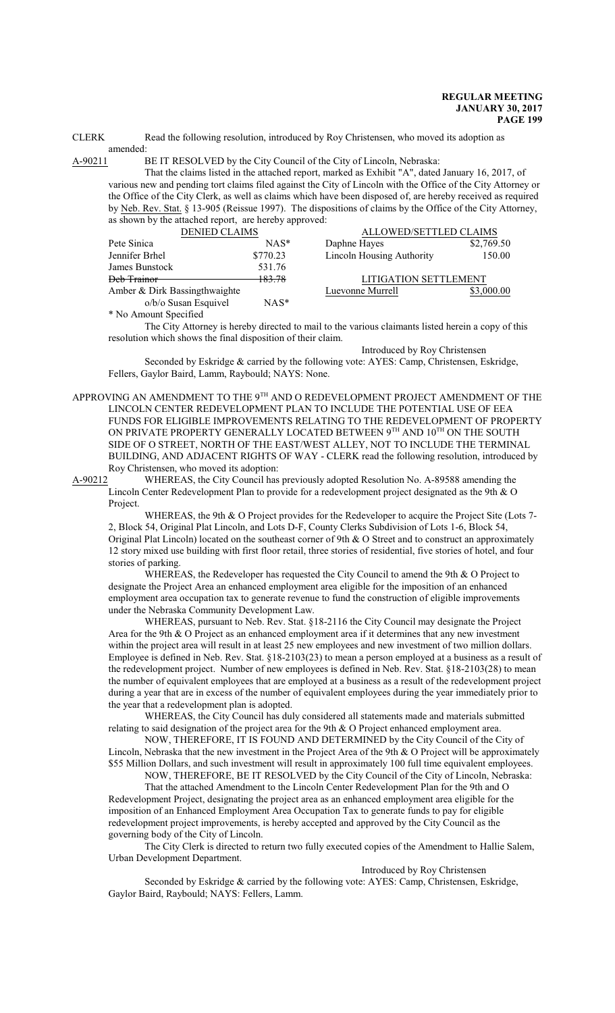CLERK Read the following resolution, introduced by Roy Christensen, who moved its adoption as amended:

A-90211 BE IT RESOLVED by the City Council of the City of Lincoln, Nebraska:

That the claims listed in the attached report, marked as Exhibit "A", dated January 16, 2017, of various new and pending tort claims filed against the City of Lincoln with the Office of the City Attorney or the Office of the City Clerk, as well as claims which have been disposed of, are hereby received as required by Neb. Rev. Stat. § 13-905 (Reissue 1997). The dispositions of claims by the Office of the City Attorney, as shown by the attached report, are hereby approved:

| <b>DENIED CLAIMS</b>          |          | ALLOWED/SETTLED CLAIMS       |            |
|-------------------------------|----------|------------------------------|------------|
| Pete Sinica                   | $NAS^*$  | Daphne Hayes                 | \$2,769.50 |
| Jennifer Brhel                | \$770.23 | Lincoln Housing Authority    | 150.00     |
| James Bunstock                | 531.76   |                              |            |
| <del>Deb Trainor</del>        | 183.78   | <b>LITIGATION SETTLEMENT</b> |            |
| Amber & Dirk Bassingthwaighte |          | Luevonne Murrell             | \$3,000.00 |
| o/b/o Susan Esquivel          | $NAS^*$  |                              |            |

\* No Amount Specified

The City Attorney is hereby directed to mail to the various claimants listed herein a copy of this resolution which shows the final disposition of their claim.

Introduced by Roy Christensen Seconded by Eskridge & carried by the following vote: AYES: Camp, Christensen, Eskridge, Fellers, Gaylor Baird, Lamm, Raybould; NAYS: None.

APPROVING AN AMENDMENT TO THE 9 $^{\text{\tiny{\textsf{TH}}}}$  AND O REDEVELOPMENT PROJECT AMENDMENT OF THE LINCOLN CENTER REDEVELOPMENT PLAN TO INCLUDE THE POTENTIAL USE OF EEA FUNDS FOR ELIGIBLE IMPROVEMENTS RELATING TO THE REDEVELOPMENT OF PROPERTY ON PRIVATE PROPERTY GENERALLY LOCATED BETWEEN  $9^{\text{\tiny{TH}}}$  and  $10^{\text{\tiny{TH}}}$  on the south SIDE OF O STREET, NORTH OF THE EAST/WEST ALLEY, NOT TO INCLUDE THE TERMINAL BUILDING, AND ADJACENT RIGHTS OF WAY - CLERK read the following resolution, introduced by Roy Christensen, who moved its adoption:

A-90212 WHEREAS, the City Council has previously adopted Resolution No. A-89588 amending the Lincoln Center Redevelopment Plan to provide for a redevelopment project designated as the 9th & O Project.

WHEREAS, the 9th & O Project provides for the Redeveloper to acquire the Project Site (Lots 7- 2, Block 54, Original Plat Lincoln, and Lots D-F, County Clerks Subdivision of Lots 1-6, Block 54, Original Plat Lincoln) located on the southeast corner of 9th  $\&$  O Street and to construct an approximately 12 story mixed use building with first floor retail, three stories of residential, five stories of hotel, and four stories of parking.

WHEREAS, the Redeveloper has requested the City Council to amend the 9th & O Project to designate the Project Area an enhanced employment area eligible for the imposition of an enhanced employment area occupation tax to generate revenue to fund the construction of eligible improvements under the Nebraska Community Development Law.

WHEREAS, pursuant to Neb. Rev. Stat. §18-2116 the City Council may designate the Project Area for the 9th & O Project as an enhanced employment area if it determines that any new investment within the project area will result in at least 25 new employees and new investment of two million dollars. Employee is defined in Neb. Rev. Stat. §18-2103(23) to mean a person employed at a business as a result of the redevelopment project. Number of new employees is defined in Neb. Rev. Stat. §18-2103(28) to mean the number of equivalent employees that are employed at a business as a result of the redevelopment project during a year that are in excess of the number of equivalent employees during the year immediately prior to the year that a redevelopment plan is adopted.

WHEREAS, the City Council has duly considered all statements made and materials submitted relating to said designation of the project area for the 9th & O Project enhanced employment area.

NOW, THEREFORE, IT IS FOUND AND DETERMINED by the City Council of the City of Lincoln, Nebraska that the new investment in the Project Area of the 9th & O Project will be approximately \$55 Million Dollars, and such investment will result in approximately 100 full time equivalent employees.

NOW, THEREFORE, BE IT RESOLVED by the City Council of the City of Lincoln, Nebraska: That the attached Amendment to the Lincoln Center Redevelopment Plan for the 9th and O Redevelopment Project, designating the project area as an enhanced employment area eligible for the imposition of an Enhanced Employment Area Occupation Tax to generate funds to pay for eligible

redevelopment project improvements, is hereby accepted and approved by the City Council as the governing body of the City of Lincoln. The City Clerk is directed to return two fully executed copies of the Amendment to Hallie Salem,

Urban Development Department.

Introduced by Roy Christensen

Seconded by Eskridge & carried by the following vote: AYES: Camp, Christensen, Eskridge, Gaylor Baird, Raybould; NAYS: Fellers, Lamm.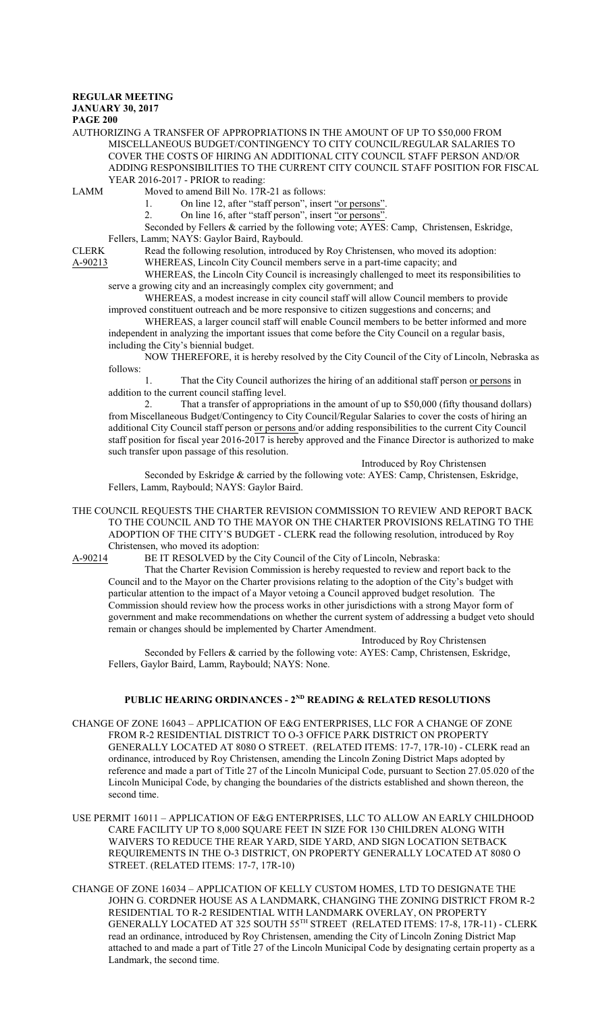## **REGULAR MEETING**

**JANUARY 30, 2017**

**PAGE 200**

#### AUTHORIZING A TRANSFER OF APPROPRIATIONS IN THE AMOUNT OF UP TO \$50,000 FROM MISCELLANEOUS BUDGET/CONTINGENCY TO CITY COUNCIL/REGULAR SALARIES TO COVER THE COSTS OF HIRING AN ADDITIONAL CITY COUNCIL STAFF PERSON AND/OR ADDING RESPONSIBILITIES TO THE CURRENT CITY COUNCIL STAFF POSITION FOR FISCAL YEAR 2016-2017 - PRIOR to reading:

- LAMM Moved to amend Bill No. 17R-21 as follows:
	- 1. On line 12, after "staff person", insert "or persons".
	- 2. On line 16, after "staff person", insert "or persons".

Seconded by Fellers & carried by the following vote; AYES: Camp, Christensen, Eskridge, Fellers, Lamm; NAYS: Gaylor Baird, Raybould.

CLERK Read the following resolution, introduced by Roy Christensen, who moved its adoption:

A-90213 WHEREAS, Lincoln City Council members serve in a part-time capacity; and

WHEREAS, the Lincoln City Council is increasingly challenged to meet its responsibilities to serve a growing city and an increasingly complex city government; and

WHEREAS, a modest increase in city council staff will allow Council members to provide improved constituent outreach and be more responsive to citizen suggestions and concerns; and

WHEREAS, a larger council staff will enable Council members to be better informed and more independent in analyzing the important issues that come before the City Council on a regular basis, including the City's biennial budget.

NOW THEREFORE, it is hereby resolved by the City Council of the City of Lincoln, Nebraska as follows:

1. That the City Council authorizes the hiring of an additional staff person or persons in addition to the current council staffing level.

That a transfer of appropriations in the amount of up to \$50,000 (fifty thousand dollars) from Miscellaneous Budget/Contingency to City Council/Regular Salaries to cover the costs of hiring an additional City Council staff person or persons and/or adding responsibilities to the current City Council staff position for fiscal year 2016-2017 is hereby approved and the Finance Director is authorized to make such transfer upon passage of this resolution.

Introduced by Roy Christensen

Seconded by Eskridge & carried by the following vote: AYES: Camp, Christensen, Eskridge, Fellers, Lamm, Raybould; NAYS: Gaylor Baird.

THE COUNCIL REQUESTS THE CHARTER REVISION COMMISSION TO REVIEW AND REPORT BACK TO THE COUNCIL AND TO THE MAYOR ON THE CHARTER PROVISIONS RELATING TO THE ADOPTION OF THE CITY'S BUDGET - CLERK read the following resolution, introduced by Roy Christensen, who moved its adoption:<br>A-90214 BE IT RESOLVED by the C

BE IT RESOLVED by the City Council of the City of Lincoln, Nebraska:

That the Charter Revision Commission is hereby requested to review and report back to the Council and to the Mayor on the Charter provisions relating to the adoption of the City's budget with particular attention to the impact of a Mayor vetoing a Council approved budget resolution. The Commission should review how the process works in other jurisdictions with a strong Mayor form of government and make recommendations on whether the current system of addressing a budget veto should remain or changes should be implemented by Charter Amendment.

Introduced by Roy Christensen

Seconded by Fellers & carried by the following vote: AYES: Camp, Christensen, Eskridge, Fellers, Gaylor Baird, Lamm, Raybould; NAYS: None.

## **PUBLIC HEARING ORDINANCES - 2ND READING & RELATED RESOLUTIONS**

CHANGE OF ZONE 16043 – APPLICATION OF E&G ENTERPRISES, LLC FOR A CHANGE OF ZONE FROM R-2 RESIDENTIAL DISTRICT TO O-3 OFFICE PARK DISTRICT ON PROPERTY GENERALLY LOCATED AT 8080 O STREET. (RELATED ITEMS: 17-7, 17R-10) - CLERK read an ordinance, introduced by Roy Christensen, amending the Lincoln Zoning District Maps adopted by reference and made a part of Title 27 of the Lincoln Municipal Code, pursuant to Section 27.05.020 of the Lincoln Municipal Code, by changing the boundaries of the districts established and shown thereon, the second time.

- USE PERMIT 16011 APPLICATION OF E&G ENTERPRISES, LLC TO ALLOW AN EARLY CHILDHOOD CARE FACILITY UP TO 8,000 SQUARE FEET IN SIZE FOR 130 CHILDREN ALONG WITH WAIVERS TO REDUCE THE REAR YARD, SIDE YARD, AND SIGN LOCATION SETBACK REQUIREMENTS IN THE O-3 DISTRICT, ON PROPERTY GENERALLY LOCATED AT 8080 O STREET. (RELATED ITEMS: 17-7, 17R-10)
- CHANGE OF ZONE 16034 APPLICATION OF KELLY CUSTOM HOMES, LTD TO DESIGNATE THE JOHN G. CORDNER HOUSE AS A LANDMARK, CHANGING THE ZONING DISTRICT FROM R-2 RESIDENTIAL TO R-2 RESIDENTIAL WITH LANDMARK OVERLAY, ON PROPERTY GENERALLY LOCATED AT 325 SOUTH 55 TH STREET (RELATED ITEMS: 17-8, 17R-11) - CLERK read an ordinance, introduced by Roy Christensen, amending the City of Lincoln Zoning District Map attached to and made a part of Title 27 of the Lincoln Municipal Code by designating certain property as a Landmark, the second time.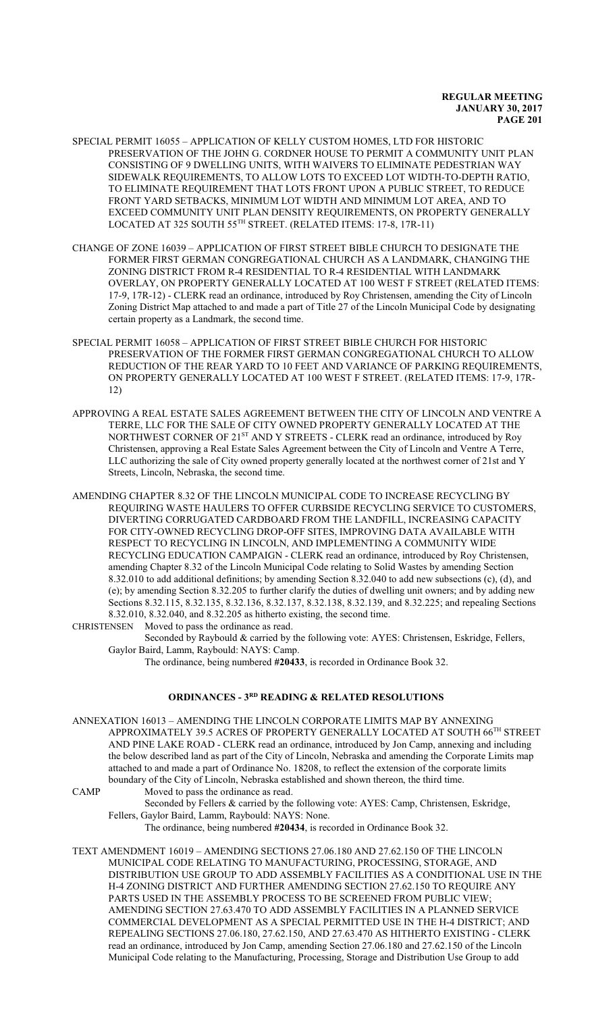- SPECIAL PERMIT 16055 APPLICATION OF KELLY CUSTOM HOMES, LTD FOR HISTORIC PRESERVATION OF THE JOHN G. CORDNER HOUSE TO PERMIT A COMMUNITY UNIT PLAN CONSISTING OF 9 DWELLING UNITS, WITH WAIVERS TO ELIMINATE PEDESTRIAN WAY SIDEWALK REQUIREMENTS, TO ALLOW LOTS TO EXCEED LOT WIDTH-TO-DEPTH RATIO, TO ELIMINATE REQUIREMENT THAT LOTS FRONT UPON A PUBLIC STREET, TO REDUCE FRONT YARD SETBACKS, MINIMUM LOT WIDTH AND MINIMUM LOT AREA, AND TO EXCEED COMMUNITY UNIT PLAN DENSITY REQUIREMENTS, ON PROPERTY GENERALLY LOCATED AT 325 SOUTH 55 TH STREET. (RELATED ITEMS: 17-8, 17R-11)
- CHANGE OF ZONE 16039 APPLICATION OF FIRST STREET BIBLE CHURCH TO DESIGNATE THE FORMER FIRST GERMAN CONGREGATIONAL CHURCH AS A LANDMARK, CHANGING THE ZONING DISTRICT FROM R-4 RESIDENTIAL TO R-4 RESIDENTIAL WITH LANDMARK OVERLAY, ON PROPERTY GENERALLY LOCATED AT 100 WEST F STREET (RELATED ITEMS: 17-9, 17R-12) - CLERK read an ordinance, introduced by Roy Christensen, amending the City of Lincoln Zoning District Map attached to and made a part of Title 27 of the Lincoln Municipal Code by designating certain property as a Landmark, the second time.
- SPECIAL PERMIT 16058 APPLICATION OF FIRST STREET BIBLE CHURCH FOR HISTORIC PRESERVATION OF THE FORMER FIRST GERMAN CONGREGATIONAL CHURCH TO ALLOW REDUCTION OF THE REAR YARD TO 10 FEET AND VARIANCE OF PARKING REQUIREMENTS, ON PROPERTY GENERALLY LOCATED AT 100 WEST F STREET. (RELATED ITEMS: 17-9, 17R-12)
- APPROVING A REAL ESTATE SALES AGREEMENT BETWEEN THE CITY OF LINCOLN AND VENTRE A TERRE, LLC FOR THE SALE OF CITY OWNED PROPERTY GENERALLY LOCATED AT THE NORTHWEST CORNER OF 21<sup>ST</sup> AND Y STREETS - CLERK read an ordinance, introduced by Roy Christensen, approving a Real Estate Sales Agreement between the City of Lincoln and Ventre A Terre, LLC authorizing the sale of City owned property generally located at the northwest corner of 21st and Y Streets, Lincoln, Nebraska, the second time.
- AMENDING CHAPTER 8.32 OF THE LINCOLN MUNICIPAL CODE TO INCREASE RECYCLING BY REQUIRING WASTE HAULERS TO OFFER CURBSIDE RECYCLING SERVICE TO CUSTOMERS, DIVERTING CORRUGATED CARDBOARD FROM THE LANDFILL, INCREASING CAPACITY FOR CITY-OWNED RECYCLING DROP-OFF SITES, IMPROVING DATA AVAILABLE WITH RESPECT TO RECYCLING IN LINCOLN, AND IMPLEMENTING A COMMUNITY WIDE RECYCLING EDUCATION CAMPAIGN - CLERK read an ordinance, introduced by Roy Christensen, amending Chapter 8.32 of the Lincoln Municipal Code relating to Solid Wastes by amending Section 8.32.010 to add additional definitions; by amending Section 8.32.040 to add new subsections (c), (d), and (e); by amending Section 8.32.205 to further clarify the duties of dwelling unit owners; and by adding new Sections 8.32.115, 8.32.135, 8.32.136, 8.32.137, 8.32.138, 8.32.139, and 8.32.225; and repealing Sections 8.32.010, 8.32.040, and 8.32.205 as hitherto existing, the second time.

CHRISTENSEN Moved to pass the ordinance as read.

Seconded by Raybould & carried by the following vote: AYES: Christensen, Eskridge, Fellers, Gaylor Baird, Lamm, Raybould: NAYS: Camp.

The ordinance, being numbered **#20433**, is recorded in Ordinance Book 32.

## **ORDINANCES - 3RD READING & RELATED RESOLUTIONS**

ANNEXATION 16013 – AMENDING THE LINCOLN CORPORATE LIMITS MAP BY ANNEXING APPROXIMATELY 39.5 ACRES OF PROPERTY GENERALLY LOCATED AT SOUTH  $66^{\text{\tiny{TH}}}$  STREET AND PINE LAKE ROAD - CLERK read an ordinance, introduced by Jon Camp, annexing and including the below described land as part of the City of Lincoln, Nebraska and amending the Corporate Limits map attached to and made a part of Ordinance No. 18208, to reflect the extension of the corporate limits boundary of the City of Lincoln, Nebraska established and shown thereon, the third time.

CAMP Moved to pass the ordinance as read.

Seconded by Fellers & carried by the following vote: AYES: Camp, Christensen, Eskridge, Fellers, Gaylor Baird, Lamm, Raybould: NAYS: None.

The ordinance, being numbered **#20434**, is recorded in Ordinance Book 32.

TEXT AMENDMENT 16019 – AMENDING SECTIONS 27.06.180 AND 27.62.150 OF THE LINCOLN MUNICIPAL CODE RELATING TO MANUFACTURING, PROCESSING, STORAGE, AND DISTRIBUTION USE GROUP TO ADD ASSEMBLY FACILITIES AS A CONDITIONAL USE IN THE H-4 ZONING DISTRICT AND FURTHER AMENDING SECTION 27.62.150 TO REQUIRE ANY PARTS USED IN THE ASSEMBLY PROCESS TO BE SCREENED FROM PUBLIC VIEW; AMENDING SECTION 27.63.470 TO ADD ASSEMBLY FACILITIES IN A PLANNED SERVICE COMMERCIAL DEVELOPMENT AS A SPECIAL PERMITTED USE IN THE H-4 DISTRICT; AND REPEALING SECTIONS 27.06.180, 27.62.150, AND 27.63.470 AS HITHERTO EXISTING - CLERK read an ordinance, introduced by Jon Camp, amending Section 27.06.180 and 27.62.150 of the Lincoln Municipal Code relating to the Manufacturing, Processing, Storage and Distribution Use Group to add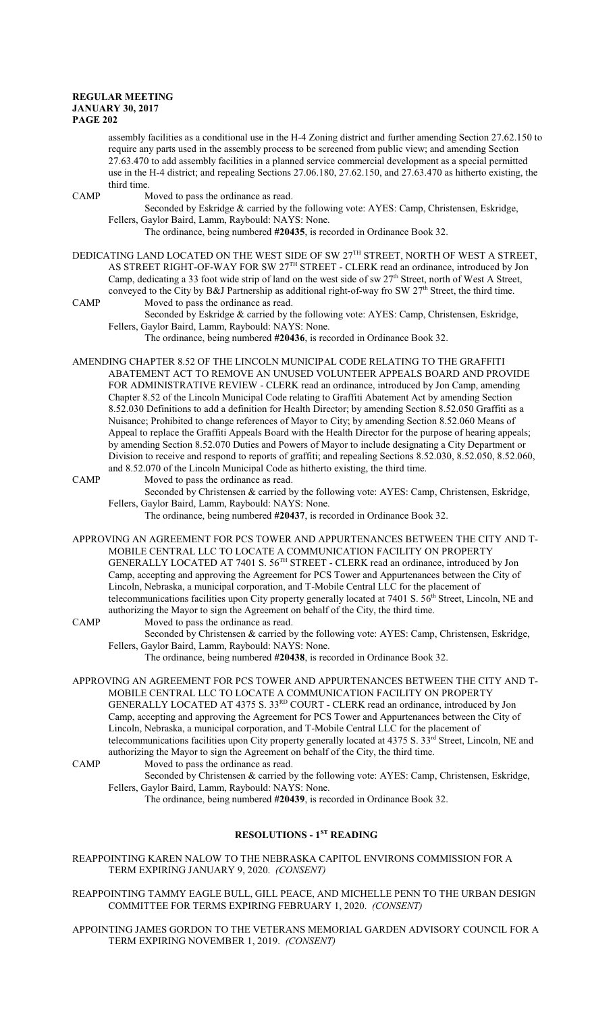assembly facilities as a conditional use in the H-4 Zoning district and further amending Section 27.62.150 to require any parts used in the assembly process to be screened from public view; and amending Section 27.63.470 to add assembly facilities in a planned service commercial development as a special permitted use in the H-4 district; and repealing Sections 27.06.180, 27.62.150, and 27.63.470 as hitherto existing, the third time.

CAMP Moved to pass the ordinance as read.

Seconded by Eskridge & carried by the following vote: AYES: Camp, Christensen, Eskridge, Fellers, Gaylor Baird, Lamm, Raybould: NAYS: None.

The ordinance, being numbered **#20435**, is recorded in Ordinance Book 32.

DEDICATING LAND LOCATED ON THE WEST SIDE OF SW  $27^{\text{TH}}$  STREET, NORTH OF WEST A STREET, AS STREET RIGHT-OF-WAY FOR SW 27TH STREET - CLERK read an ordinance, introduced by Jon Camp, dedicating a 33 foot wide strip of land on the west side of sw 27<sup>th</sup> Street, north of West A Street, conveyed to the City by B&J Partnership as additional right-of-way fro SW 27<sup>th</sup> Street, the third time. CAMP Moved to pass the ordinance as read.

Seconded by Eskridge & carried by the following vote: AYES: Camp, Christensen, Eskridge, Fellers, Gaylor Baird, Lamm, Raybould: NAYS: None.

The ordinance, being numbered **#20436**, is recorded in Ordinance Book 32.

- AMENDING CHAPTER 8.52 OF THE LINCOLN MUNICIPAL CODE RELATING TO THE GRAFFITI ABATEMENT ACT TO REMOVE AN UNUSED VOLUNTEER APPEALS BOARD AND PROVIDE FOR ADMINISTRATIVE REVIEW - CLERK read an ordinance, introduced by Jon Camp, amending Chapter 8.52 of the Lincoln Municipal Code relating to Graffiti Abatement Act by amending Section 8.52.030 Definitions to add a definition for Health Director; by amending Section 8.52.050 Graffiti as a Nuisance; Prohibited to change references of Mayor to City; by amending Section 8.52.060 Means of Appeal to replace the Graffiti Appeals Board with the Health Director for the purpose of hearing appeals; by amending Section 8.52.070 Duties and Powers of Mayor to include designating a City Department or Division to receive and respond to reports of graffiti; and repealing Sections 8.52.030, 8.52.050, 8.52.060, and 8.52.070 of the Lincoln Municipal Code as hitherto existing, the third time.
- CAMP Moved to pass the ordinance as read. Seconded by Christensen & carried by the following vote: AYES: Camp, Christensen, Eskridge, Fellers, Gaylor Baird, Lamm, Raybould: NAYS: None.

The ordinance, being numbered **#20437**, is recorded in Ordinance Book 32.

- APPROVING AN AGREEMENT FOR PCS TOWER AND APPURTENANCES BETWEEN THE CITY AND T-MOBILE CENTRAL LLC TO LOCATE A COMMUNICATION FACILITY ON PROPERTY GENERALLY LOCATED AT 7401 S. 56<sup>TH</sup> STREET - CLERK read an ordinance, introduced by Jon Camp, accepting and approving the Agreement for PCS Tower and Appurtenances between the City of Lincoln, Nebraska, a municipal corporation, and T-Mobile Central LLC for the placement of telecommunications facilities upon City property generally located at 7401 S. 56<sup>th</sup> Street, Lincoln, NE and authorizing the Mayor to sign the Agreement on behalf of the City, the third time.
- CAMP Moved to pass the ordinance as read. Seconded by Christensen & carried by the following vote: AYES: Camp, Christensen, Eskridge, Fellers, Gaylor Baird, Lamm, Raybould: NAYS: None. The ordinance, being numbered **#20438**, is recorded in Ordinance Book 32.
- APPROVING AN AGREEMENT FOR PCS TOWER AND APPURTENANCES BETWEEN THE CITY AND T-MOBILE CENTRAL LLC TO LOCATE A COMMUNICATION FACILITY ON PROPERTY GENERALLY LOCATED AT 4375 S. 33RD COURT - CLERK read an ordinance, introduced by Jon Camp, accepting and approving the Agreement for PCS Tower and Appurtenances between the City of Lincoln, Nebraska, a municipal corporation, and T-Mobile Central LLC for the placement of telecommunications facilities upon City property generally located at 4375 S. 33<sup>rd</sup> Street, Lincoln, NE and authorizing the Mayor to sign the Agreement on behalf of the City, the third time.
- CAMP Moved to pass the ordinance as read.
	- Seconded by Christensen & carried by the following vote: AYES: Camp, Christensen, Eskridge, Fellers, Gaylor Baird, Lamm, Raybould: NAYS: None.

The ordinance, being numbered **#20439**, is recorded in Ordinance Book 32.

## **RESOLUTIONS - 1ST READING**

- REAPPOINTING KAREN NALOW TO THE NEBRASKA CAPITOL ENVIRONS COMMISSION FOR A TERM EXPIRING JANUARY 9, 2020. *(CONSENT)*
- REAPPOINTING TAMMY EAGLE BULL, GILL PEACE, AND MICHELLE PENN TO THE URBAN DESIGN COMMITTEE FOR TERMS EXPIRING FEBRUARY 1, 2020. *(CONSENT)*
- APPOINTING JAMES GORDON TO THE VETERANS MEMORIAL GARDEN ADVISORY COUNCIL FOR A TERM EXPIRING NOVEMBER 1, 2019. *(CONSENT)*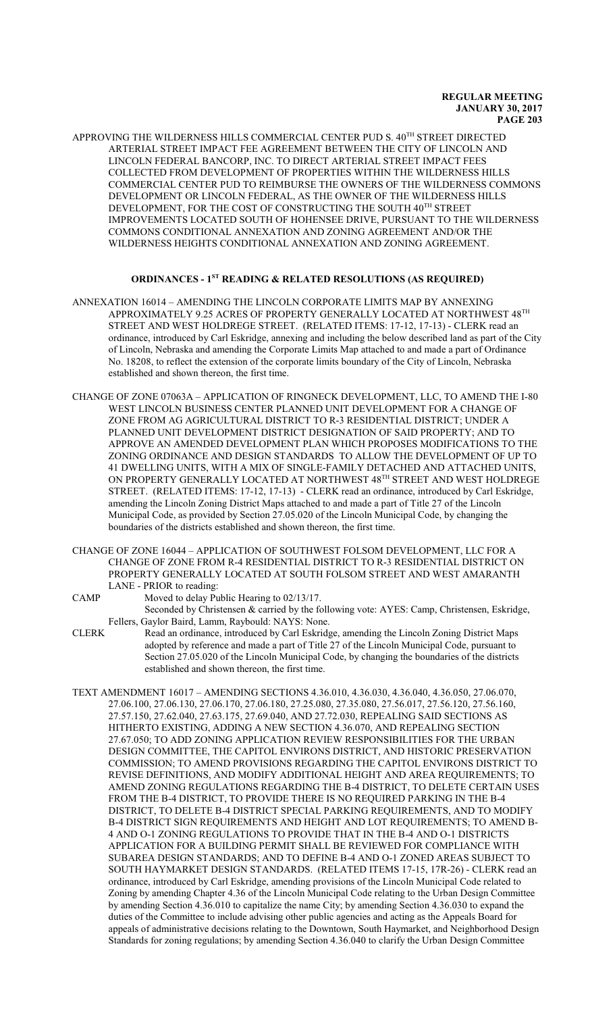APPROVING THE WILDERNESS HILLS COMMERCIAL CENTER PUD S. 40<sup>th</sup> STREET DIRECTED ARTERIAL STREET IMPACT FEE AGREEMENT BETWEEN THE CITY OF LINCOLN AND LINCOLN FEDERAL BANCORP, INC. TO DIRECT ARTERIAL STREET IMPACT FEES COLLECTED FROM DEVELOPMENT OF PROPERTIES WITHIN THE WILDERNESS HILLS COMMERCIAL CENTER PUD TO REIMBURSE THE OWNERS OF THE WILDERNESS COMMONS DEVELOPMENT OR LINCOLN FEDERAL, AS THE OWNER OF THE WILDERNESS HILLS DEVELOPMENT, FOR THE COST OF CONSTRUCTING THE SOUTH 40<sup>TH</sup> STREET IMPROVEMENTS LOCATED SOUTH OF HOHENSEE DRIVE, PURSUANT TO THE WILDERNESS COMMONS CONDITIONAL ANNEXATION AND ZONING AGREEMENT AND/OR THE WILDERNESS HEIGHTS CONDITIONAL ANNEXATION AND ZONING AGREEMENT.

## **ORDINANCES - 1ST READING & RELATED RESOLUTIONS (AS REQUIRED)**

- ANNEXATION 16014 AMENDING THE LINCOLN CORPORATE LIMITS MAP BY ANNEXING APPROXIMATELY 9.25 ACRES OF PROPERTY GENERALLY LOCATED AT NORTHWEST  $48^{\mathrm{TH}}$ STREET AND WEST HOLDREGE STREET. (RELATED ITEMS: 17-12, 17-13) - CLERK read an ordinance, introduced by Carl Eskridge, annexing and including the below described land as part of the City of Lincoln, Nebraska and amending the Corporate Limits Map attached to and made a part of Ordinance No. 18208, to reflect the extension of the corporate limits boundary of the City of Lincoln, Nebraska established and shown thereon, the first time.
- CHANGE OF ZONE 07063A APPLICATION OF RINGNECK DEVELOPMENT, LLC, TO AMEND THE I-80 WEST LINCOLN BUSINESS CENTER PLANNED UNIT DEVELOPMENT FOR A CHANGE OF ZONE FROM AG AGRICULTURAL DISTRICT TO R-3 RESIDENTIAL DISTRICT; UNDER A PLANNED UNIT DEVELOPMENT DISTRICT DESIGNATION OF SAID PROPERTY; AND TO APPROVE AN AMENDED DEVELOPMENT PLAN WHICH PROPOSES MODIFICATIONS TO THE ZONING ORDINANCE AND DESIGN STANDARDS TO ALLOW THE DEVELOPMENT OF UP TO 41 DWELLING UNITS, WITH A MIX OF SINGLE-FAMILY DETACHED AND ATTACHED UNITS, ON PROPERTY GENERALLY LOCATED AT NORTHWEST 48<sup>th</sup> STREET AND WEST HOLDREGE STREET. (RELATED ITEMS: 17-12, 17-13) - CLERK read an ordinance, introduced by Carl Eskridge, amending the Lincoln Zoning District Maps attached to and made a part of Title 27 of the Lincoln Municipal Code, as provided by Section 27.05.020 of the Lincoln Municipal Code, by changing the boundaries of the districts established and shown thereon, the first time.
- CHANGE OF ZONE 16044 APPLICATION OF SOUTHWEST FOLSOM DEVELOPMENT, LLC FOR A CHANGE OF ZONE FROM R-4 RESIDENTIAL DISTRICT TO R-3 RESIDENTIAL DISTRICT ON PROPERTY GENERALLY LOCATED AT SOUTH FOLSOM STREET AND WEST AMARANTH LANE - PRIOR to reading:
- CAMP Moved to delay Public Hearing to 02/13/17. Seconded by Christensen & carried by the following vote: AYES: Camp, Christensen, Eskridge, Fellers, Gaylor Baird, Lamm, Raybould: NAYS: None.
- CLERK Read an ordinance, introduced by Carl Eskridge, amending the Lincoln Zoning District Maps adopted by reference and made a part of Title 27 of the Lincoln Municipal Code, pursuant to Section 27.05.020 of the Lincoln Municipal Code, by changing the boundaries of the districts established and shown thereon, the first time.
- TEXT AMENDMENT 16017 AMENDING SECTIONS 4.36.010, 4.36.030, 4.36.040, 4.36.050, 27.06.070, 27.06.100, 27.06.130, 27.06.170, 27.06.180, 27.25.080, 27.35.080, 27.56.017, 27.56.120, 27.56.160, 27.57.150, 27.62.040, 27.63.175, 27.69.040, AND 27.72.030, REPEALING SAID SECTIONS AS HITHERTO EXISTING, ADDING A NEW SECTION 4.36.070, AND REPEALING SECTION 27.67.050; TO ADD ZONING APPLICATION REVIEW RESPONSIBILITIES FOR THE URBAN DESIGN COMMITTEE, THE CAPITOL ENVIRONS DISTRICT, AND HISTORIC PRESERVATION COMMISSION; TO AMEND PROVISIONS REGARDING THE CAPITOL ENVIRONS DISTRICT TO REVISE DEFINITIONS, AND MODIFY ADDITIONAL HEIGHT AND AREA REQUIREMENTS; TO AMEND ZONING REGULATIONS REGARDING THE B-4 DISTRICT, TO DELETE CERTAIN USES FROM THE B-4 DISTRICT, TO PROVIDE THERE IS NO REQUIRED PARKING IN THE B-4 DISTRICT, TO DELETE B-4 DISTRICT SPECIAL PARKING REQUIREMENTS, AND TO MODIFY B-4 DISTRICT SIGN REQUIREMENTS AND HEIGHT AND LOT REQUIREMENTS; TO AMEND B-4 AND O-1 ZONING REGULATIONS TO PROVIDE THAT IN THE B-4 AND O-1 DISTRICTS APPLICATION FOR A BUILDING PERMIT SHALL BE REVIEWED FOR COMPLIANCE WITH SUBAREA DESIGN STANDARDS; AND TO DEFINE B-4 AND O-1 ZONED AREAS SUBJECT TO SOUTH HAYMARKET DESIGN STANDARDS. (RELATED ITEMS 17-15, 17R-26) - CLERK read an ordinance, introduced by Carl Eskridge, amending provisions of the Lincoln Municipal Code related to Zoning by amending Chapter 4.36 of the Lincoln Municipal Code relating to the Urban Design Committee by amending Section 4.36.010 to capitalize the name City; by amending Section 4.36.030 to expand the duties of the Committee to include advising other public agencies and acting as the Appeals Board for appeals of administrative decisions relating to the Downtown, South Haymarket, and Neighborhood Design Standards for zoning regulations; by amending Section 4.36.040 to clarify the Urban Design Committee